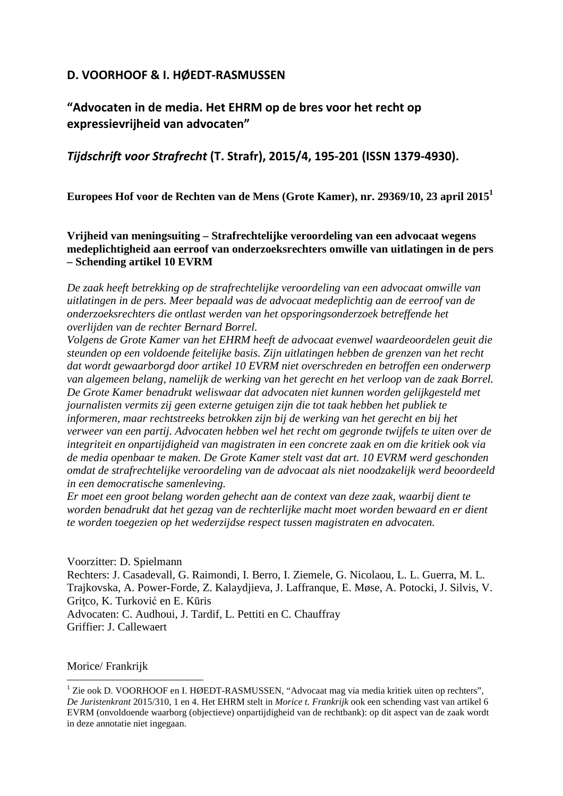# **D. VOORHOOF & I. HØEDT-RASMUSSEN**

**"Advocaten in de media. Het EHRM op de bres voor het recht op expressievrijheid van advocaten"** 

*Tijdschrift voor Strafrecht* **(T. Strafr), 2015/4, 195-201 (ISSN 1379-4930).** 

**Europees Hof voor de Rechten van de Mens (Grote Kamer), nr. 29369/10, 23 april 2015<sup>1</sup>**

**Vrijheid van meningsuiting – Strafrechtelijke veroordeling van een advocaat wegens medeplichtigheid aan eerroof van onderzoeksrechters omwille van uitlatingen in de pers – Schending artikel 10 EVRM** 

*De zaak heeft betrekking op de strafrechtelijke veroordeling van een advocaat omwille van uitlatingen in de pers. Meer bepaald was de advocaat medeplichtig aan de eerroof van de onderzoeksrechters die ontlast werden van het opsporingsonderzoek betreffende het overlijden van de rechter Bernard Borrel.* 

*Volgens de Grote Kamer van het EHRM heeft de advocaat evenwel waardeoordelen geuit die steunden op een voldoende feitelijke basis. Zijn uitlatingen hebben de grenzen van het recht dat wordt gewaarborgd door artikel 10 EVRM niet overschreden en betroffen een onderwerp van algemeen belang, namelijk de werking van het gerecht en het verloop van de zaak Borrel. De Grote Kamer benadrukt weliswaar dat advocaten niet kunnen worden gelijkgesteld met journalisten vermits zij geen externe getuigen zijn die tot taak hebben het publiek te informeren, maar rechtstreeks betrokken zijn bij de werking van het gerecht en bij het verweer van een partij. Advocaten hebben wel het recht om gegronde twijfels te uiten over de integriteit en onpartijdigheid van magistraten in een concrete zaak en om die kritiek ook via de media openbaar te maken. De Grote Kamer stelt vast dat art. 10 EVRM werd geschonden omdat de strafrechtelijke veroordeling van de advocaat als niet noodzakelijk werd beoordeeld in een democratische samenleving.*

*Er moet een groot belang worden gehecht aan de context van deze zaak, waarbij dient te worden benadrukt dat het gezag van de rechterlijke macht moet worden bewaard en er dient te worden toegezien op het wederzijdse respect tussen magistraten en advocaten.* 

Voorzitter: D. Spielmann Rechters: J. Casadevall, G. Raimondi, I. Berro, I. Ziemele, G. Nicolaou, L. L. Guerra, M. L. Trajkovska, A. Power-Forde, Z. Kalaydjieva, J. Laffranque, E. Møse, A. Potocki, J. Silvis, V. Gritco, K. Turković en E. Kūris Advocaten: C. Audhoui, J. Tardif, L. Pettiti en C. Chauffray Griffier: J. Callewaert

#### Morice/ Frankrijk  $\overline{a}$

<sup>&</sup>lt;sup>1</sup> Zie ook D. VOORHOOF en I. HØEDT-RASMUSSEN, "Advocaat mag via media kritiek uiten op rechters", *De Juristenkrant* 2015/310, 1 en 4. Het EHRM stelt in *Morice t. Frankrijk* ook een schending vast van artikel 6 EVRM (onvoldoende waarborg (objectieve) onpartijdigheid van de rechtbank): op dit aspect van de zaak wordt in deze annotatie niet ingegaan.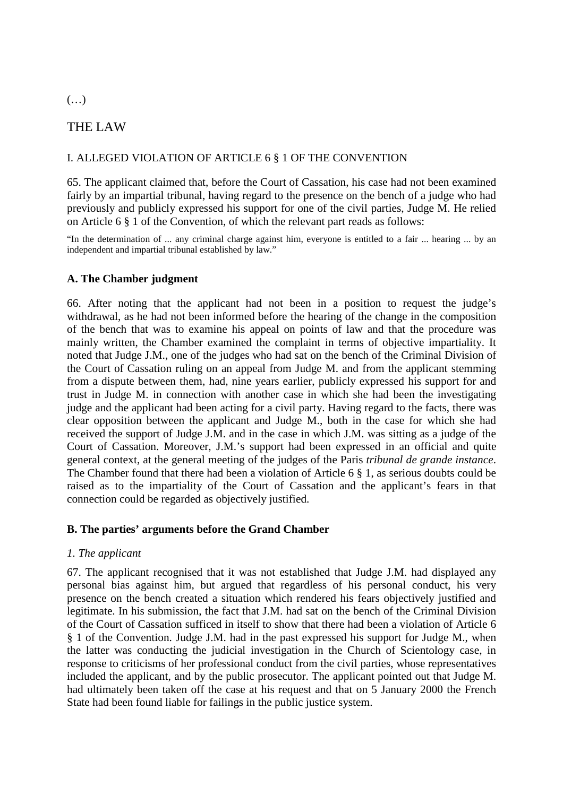### (…)

# THE LAW

### I. ALLEGED VIOLATION OF ARTICLE 6 § 1 OF THE CONVENTION

65. The applicant claimed that, before the Court of Cassation, his case had not been examined fairly by an impartial tribunal, having regard to the presence on the bench of a judge who had previously and publicly expressed his support for one of the civil parties, Judge M. He relied on Article 6 § 1 of the Convention, of which the relevant part reads as follows:

"In the determination of ... any criminal charge against him, everyone is entitled to a fair ... hearing ... by an independent and impartial tribunal established by law."

### **A. The Chamber judgment**

66. After noting that the applicant had not been in a position to request the judge's withdrawal, as he had not been informed before the hearing of the change in the composition of the bench that was to examine his appeal on points of law and that the procedure was mainly written, the Chamber examined the complaint in terms of objective impartiality. It noted that Judge J.M., one of the judges who had sat on the bench of the Criminal Division of the Court of Cassation ruling on an appeal from Judge M. and from the applicant stemming from a dispute between them, had, nine years earlier, publicly expressed his support for and trust in Judge M. in connection with another case in which she had been the investigating judge and the applicant had been acting for a civil party. Having regard to the facts, there was clear opposition between the applicant and Judge M., both in the case for which she had received the support of Judge J.M. and in the case in which J.M. was sitting as a judge of the Court of Cassation. Moreover, J.M.'s support had been expressed in an official and quite general context, at the general meeting of the judges of the Paris *tribunal de grande instance*. The Chamber found that there had been a violation of Article 6 § 1, as serious doubts could be raised as to the impartiality of the Court of Cassation and the applicant's fears in that connection could be regarded as objectively justified.

### **B. The parties' arguments before the Grand Chamber**

### *1. The applicant*

67. The applicant recognised that it was not established that Judge J.M. had displayed any personal bias against him, but argued that regardless of his personal conduct, his very presence on the bench created a situation which rendered his fears objectively justified and legitimate. In his submission, the fact that J.M. had sat on the bench of the Criminal Division of the Court of Cassation sufficed in itself to show that there had been a violation of Article 6 § 1 of the Convention. Judge J.M. had in the past expressed his support for Judge M., when the latter was conducting the judicial investigation in the Church of Scientology case, in response to criticisms of her professional conduct from the civil parties, whose representatives included the applicant, and by the public prosecutor. The applicant pointed out that Judge M. had ultimately been taken off the case at his request and that on 5 January 2000 the French State had been found liable for failings in the public justice system.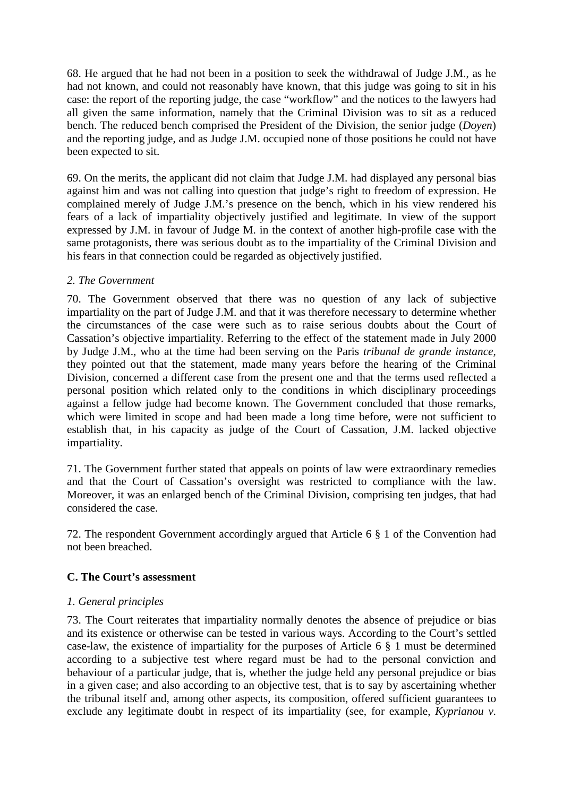68. He argued that he had not been in a position to seek the withdrawal of Judge J.M., as he had not known, and could not reasonably have known, that this judge was going to sit in his case: the report of the reporting judge, the case "workflow" and the notices to the lawyers had all given the same information, namely that the Criminal Division was to sit as a reduced bench. The reduced bench comprised the President of the Division, the senior judge (*Doyen*) and the reporting judge, and as Judge J.M. occupied none of those positions he could not have been expected to sit.

69. On the merits, the applicant did not claim that Judge J.M. had displayed any personal bias against him and was not calling into question that judge's right to freedom of expression. He complained merely of Judge J.M.'s presence on the bench, which in his view rendered his fears of a lack of impartiality objectively justified and legitimate. In view of the support expressed by J.M. in favour of Judge M. in the context of another high-profile case with the same protagonists, there was serious doubt as to the impartiality of the Criminal Division and his fears in that connection could be regarded as objectively justified.

## *2. The Government*

70. The Government observed that there was no question of any lack of subjective impartiality on the part of Judge J.M. and that it was therefore necessary to determine whether the circumstances of the case were such as to raise serious doubts about the Court of Cassation's objective impartiality. Referring to the effect of the statement made in July 2000 by Judge J.M., who at the time had been serving on the Paris *tribunal de grande instance*, they pointed out that the statement, made many years before the hearing of the Criminal Division, concerned a different case from the present one and that the terms used reflected a personal position which related only to the conditions in which disciplinary proceedings against a fellow judge had become known. The Government concluded that those remarks, which were limited in scope and had been made a long time before, were not sufficient to establish that, in his capacity as judge of the Court of Cassation, J.M. lacked objective impartiality.

71. The Government further stated that appeals on points of law were extraordinary remedies and that the Court of Cassation's oversight was restricted to compliance with the law. Moreover, it was an enlarged bench of the Criminal Division, comprising ten judges, that had considered the case.

72. The respondent Government accordingly argued that Article 6 § 1 of the Convention had not been breached.

## **C. The Court's assessment**

## *1. General principles*

73. The Court reiterates that impartiality normally denotes the absence of prejudice or bias and its existence or otherwise can be tested in various ways. According to the Court's settled case-law, the existence of impartiality for the purposes of Article 6 § 1 must be determined according to a subjective test where regard must be had to the personal conviction and behaviour of a particular judge, that is, whether the judge held any personal prejudice or bias in a given case; and also according to an objective test, that is to say by ascertaining whether the tribunal itself and, among other aspects, its composition, offered sufficient guarantees to exclude any legitimate doubt in respect of its impartiality (see, for example, *Kyprianou v.*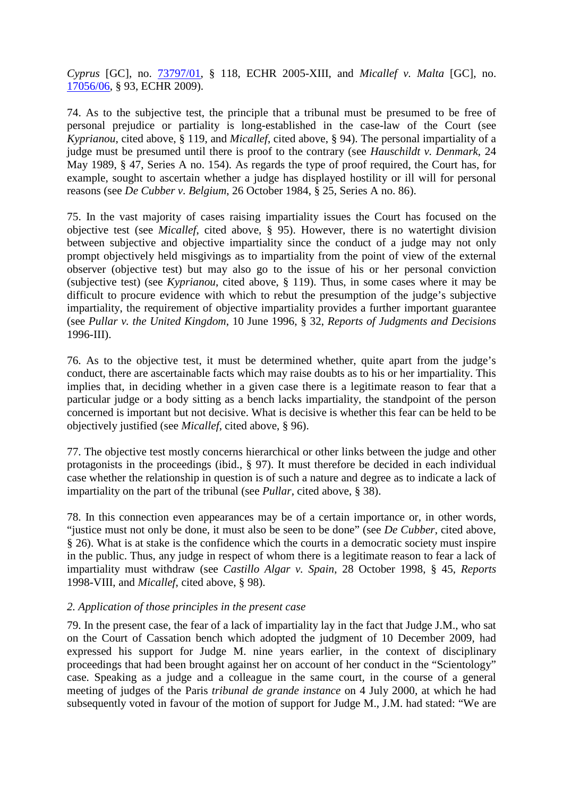*Cyprus* [GC], no. 73797/01, § 118, ECHR 2005-XIII, and *Micallef v. Malta* [GC], no. 17056/06, § 93, ECHR 2009).

74. As to the subjective test, the principle that a tribunal must be presumed to be free of personal prejudice or partiality is long-established in the case-law of the Court (see *Kyprianou*, cited above, § 119, and *Micallef*, cited above, § 94). The personal impartiality of a judge must be presumed until there is proof to the contrary (see *Hauschildt v. Denmark*, 24 May 1989, § 47, Series A no. 154). As regards the type of proof required, the Court has, for example, sought to ascertain whether a judge has displayed hostility or ill will for personal reasons (see *De Cubber v. Belgium*, 26 October 1984, § 25, Series A no. 86).

75. In the vast majority of cases raising impartiality issues the Court has focused on the objective test (see *Micallef*, cited above, § 95). However, there is no watertight division between subjective and objective impartiality since the conduct of a judge may not only prompt objectively held misgivings as to impartiality from the point of view of the external observer (objective test) but may also go to the issue of his or her personal conviction (subjective test) (see *Kyprianou*, cited above, § 119). Thus, in some cases where it may be difficult to procure evidence with which to rebut the presumption of the judge's subjective impartiality, the requirement of objective impartiality provides a further important guarantee (see *Pullar v. the United Kingdom*, 10 June 1996, § 32, *Reports of Judgments and Decisions* 1996-III).

76. As to the objective test, it must be determined whether, quite apart from the judge's conduct, there are ascertainable facts which may raise doubts as to his or her impartiality. This implies that, in deciding whether in a given case there is a legitimate reason to fear that a particular judge or a body sitting as a bench lacks impartiality, the standpoint of the person concerned is important but not decisive. What is decisive is whether this fear can be held to be objectively justified (see *Micallef*, cited above, § 96).

77. The objective test mostly concerns hierarchical or other links between the judge and other protagonists in the proceedings (ibid., § 97). It must therefore be decided in each individual case whether the relationship in question is of such a nature and degree as to indicate a lack of impartiality on the part of the tribunal (see *Pullar*, cited above, § 38).

78. In this connection even appearances may be of a certain importance or, in other words, "justice must not only be done, it must also be seen to be done" (see *De Cubber*, cited above, § 26). What is at stake is the confidence which the courts in a democratic society must inspire in the public. Thus, any judge in respect of whom there is a legitimate reason to fear a lack of impartiality must withdraw (see *Castillo Algar v. Spain*, 28 October 1998, § 45, *Reports* 1998-VIII, and *Micallef*, cited above, § 98).

### *2. Application of those principles in the present case*

79. In the present case, the fear of a lack of impartiality lay in the fact that Judge J.M., who sat on the Court of Cassation bench which adopted the judgment of 10 December 2009, had expressed his support for Judge M. nine years earlier, in the context of disciplinary proceedings that had been brought against her on account of her conduct in the "Scientology" case. Speaking as a judge and a colleague in the same court, in the course of a general meeting of judges of the Paris *tribunal de grande instance* on 4 July 2000, at which he had subsequently voted in favour of the motion of support for Judge M., J.M. had stated: "We are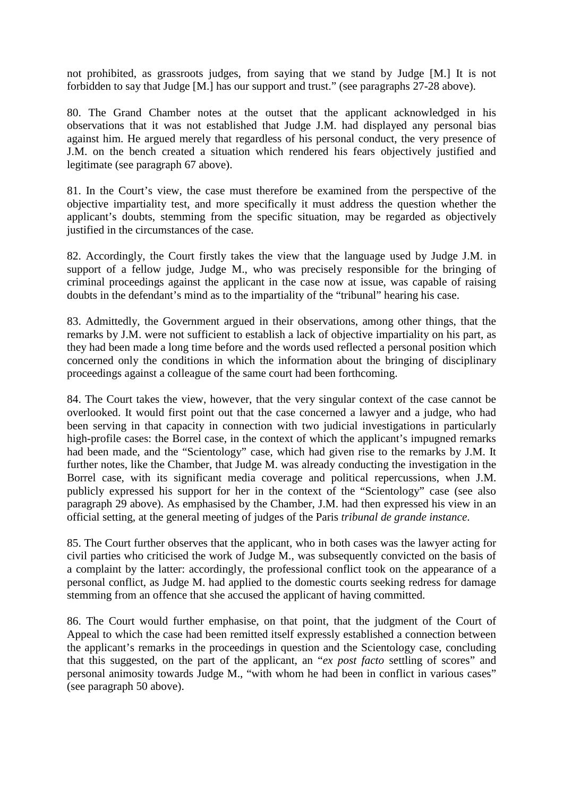not prohibited, as grassroots judges, from saying that we stand by Judge [M.] It is not forbidden to say that Judge [M.] has our support and trust." (see paragraphs 27-28 above).

80. The Grand Chamber notes at the outset that the applicant acknowledged in his observations that it was not established that Judge J.M. had displayed any personal bias against him. He argued merely that regardless of his personal conduct, the very presence of J.M. on the bench created a situation which rendered his fears objectively justified and legitimate (see paragraph 67 above).

81. In the Court's view, the case must therefore be examined from the perspective of the objective impartiality test, and more specifically it must address the question whether the applicant's doubts, stemming from the specific situation, may be regarded as objectively justified in the circumstances of the case.

82. Accordingly, the Court firstly takes the view that the language used by Judge J.M. in support of a fellow judge, Judge M., who was precisely responsible for the bringing of criminal proceedings against the applicant in the case now at issue, was capable of raising doubts in the defendant's mind as to the impartiality of the "tribunal" hearing his case.

83. Admittedly, the Government argued in their observations, among other things, that the remarks by J.M. were not sufficient to establish a lack of objective impartiality on his part, as they had been made a long time before and the words used reflected a personal position which concerned only the conditions in which the information about the bringing of disciplinary proceedings against a colleague of the same court had been forthcoming.

84. The Court takes the view, however, that the very singular context of the case cannot be overlooked. It would first point out that the case concerned a lawyer and a judge, who had been serving in that capacity in connection with two judicial investigations in particularly high-profile cases: the Borrel case, in the context of which the applicant's impugned remarks had been made, and the "Scientology" case, which had given rise to the remarks by J.M. It further notes, like the Chamber, that Judge M. was already conducting the investigation in the Borrel case, with its significant media coverage and political repercussions, when J.M. publicly expressed his support for her in the context of the "Scientology" case (see also paragraph 29 above). As emphasised by the Chamber, J.M. had then expressed his view in an official setting, at the general meeting of judges of the Paris *tribunal de grande instance*.

85. The Court further observes that the applicant, who in both cases was the lawyer acting for civil parties who criticised the work of Judge M., was subsequently convicted on the basis of a complaint by the latter: accordingly, the professional conflict took on the appearance of a personal conflict, as Judge M. had applied to the domestic courts seeking redress for damage stemming from an offence that she accused the applicant of having committed.

86. The Court would further emphasise, on that point, that the judgment of the Court of Appeal to which the case had been remitted itself expressly established a connection between the applicant's remarks in the proceedings in question and the Scientology case, concluding that this suggested, on the part of the applicant, an "*ex post facto* settling of scores" and personal animosity towards Judge M., "with whom he had been in conflict in various cases" (see paragraph 50 above).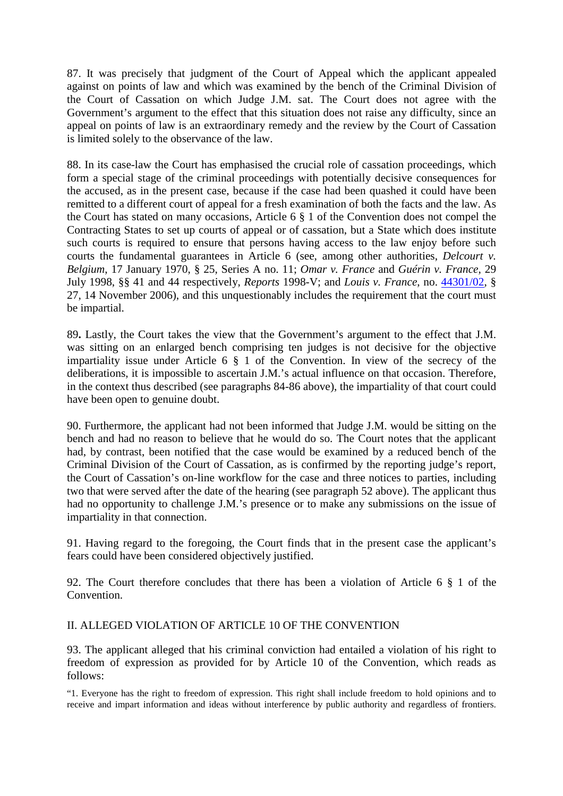87. It was precisely that judgment of the Court of Appeal which the applicant appealed against on points of law and which was examined by the bench of the Criminal Division of the Court of Cassation on which Judge J.M. sat. The Court does not agree with the Government's argument to the effect that this situation does not raise any difficulty, since an appeal on points of law is an extraordinary remedy and the review by the Court of Cassation is limited solely to the observance of the law.

88. In its case-law the Court has emphasised the crucial role of cassation proceedings, which form a special stage of the criminal proceedings with potentially decisive consequences for the accused, as in the present case, because if the case had been quashed it could have been remitted to a different court of appeal for a fresh examination of both the facts and the law. As the Court has stated on many occasions, Article 6 § 1 of the Convention does not compel the Contracting States to set up courts of appeal or of cassation, but a State which does institute such courts is required to ensure that persons having access to the law enjoy before such courts the fundamental guarantees in Article 6 (see, among other authorities, *Delcourt v. Belgium*, 17 January 1970, § 25, Series A no. 11; *Omar v. France* and *Guérin v. France*, 29 July 1998, §§ 41 and 44 respectively, *Reports* 1998-V; and *Louis v. France*, no. 44301/02, § 27, 14 November 2006), and this unquestionably includes the requirement that the court must be impartial.

89**.** Lastly, the Court takes the view that the Government's argument to the effect that J.M. was sitting on an enlarged bench comprising ten judges is not decisive for the objective impartiality issue under Article 6 § 1 of the Convention. In view of the secrecy of the deliberations, it is impossible to ascertain J.M.'s actual influence on that occasion. Therefore, in the context thus described (see paragraphs 84-86 above), the impartiality of that court could have been open to genuine doubt.

90. Furthermore, the applicant had not been informed that Judge J.M. would be sitting on the bench and had no reason to believe that he would do so. The Court notes that the applicant had, by contrast, been notified that the case would be examined by a reduced bench of the Criminal Division of the Court of Cassation, as is confirmed by the reporting judge's report, the Court of Cassation's on-line workflow for the case and three notices to parties, including two that were served after the date of the hearing (see paragraph 52 above). The applicant thus had no opportunity to challenge J.M.'s presence or to make any submissions on the issue of impartiality in that connection.

91. Having regard to the foregoing, the Court finds that in the present case the applicant's fears could have been considered objectively justified.

92. The Court therefore concludes that there has been a violation of Article 6 § 1 of the Convention.

## II. ALLEGED VIOLATION OF ARTICLE 10 OF THE CONVENTION

93. The applicant alleged that his criminal conviction had entailed a violation of his right to freedom of expression as provided for by Article 10 of the Convention, which reads as follows:

"1. Everyone has the right to freedom of expression. This right shall include freedom to hold opinions and to receive and impart information and ideas without interference by public authority and regardless of frontiers.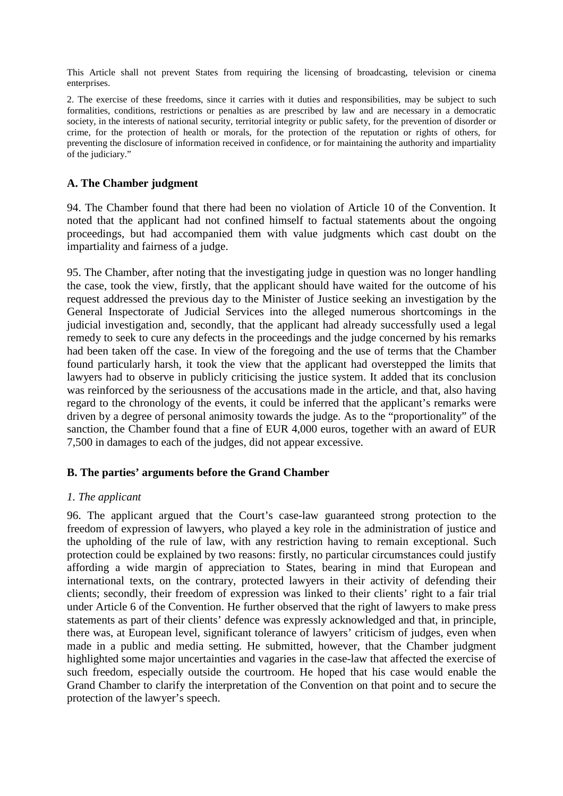This Article shall not prevent States from requiring the licensing of broadcasting, television or cinema enterprises.

2. The exercise of these freedoms, since it carries with it duties and responsibilities, may be subject to such formalities, conditions, restrictions or penalties as are prescribed by law and are necessary in a democratic society, in the interests of national security, territorial integrity or public safety, for the prevention of disorder or crime, for the protection of health or morals, for the protection of the reputation or rights of others, for preventing the disclosure of information received in confidence, or for maintaining the authority and impartiality of the judiciary."

### **A. The Chamber judgment**

94. The Chamber found that there had been no violation of Article 10 of the Convention. It noted that the applicant had not confined himself to factual statements about the ongoing proceedings, but had accompanied them with value judgments which cast doubt on the impartiality and fairness of a judge.

95. The Chamber, after noting that the investigating judge in question was no longer handling the case, took the view, firstly, that the applicant should have waited for the outcome of his request addressed the previous day to the Minister of Justice seeking an investigation by the General Inspectorate of Judicial Services into the alleged numerous shortcomings in the judicial investigation and, secondly, that the applicant had already successfully used a legal remedy to seek to cure any defects in the proceedings and the judge concerned by his remarks had been taken off the case. In view of the foregoing and the use of terms that the Chamber found particularly harsh, it took the view that the applicant had overstepped the limits that lawyers had to observe in publicly criticising the justice system. It added that its conclusion was reinforced by the seriousness of the accusations made in the article, and that, also having regard to the chronology of the events, it could be inferred that the applicant's remarks were driven by a degree of personal animosity towards the judge. As to the "proportionality" of the sanction, the Chamber found that a fine of EUR 4,000 euros, together with an award of EUR 7,500 in damages to each of the judges, did not appear excessive.

## **B. The parties' arguments before the Grand Chamber**

### *1. The applicant*

96. The applicant argued that the Court's case-law guaranteed strong protection to the freedom of expression of lawyers, who played a key role in the administration of justice and the upholding of the rule of law, with any restriction having to remain exceptional. Such protection could be explained by two reasons: firstly, no particular circumstances could justify affording a wide margin of appreciation to States, bearing in mind that European and international texts, on the contrary, protected lawyers in their activity of defending their clients; secondly, their freedom of expression was linked to their clients' right to a fair trial under Article 6 of the Convention. He further observed that the right of lawyers to make press statements as part of their clients' defence was expressly acknowledged and that, in principle, there was, at European level, significant tolerance of lawyers' criticism of judges, even when made in a public and media setting. He submitted, however, that the Chamber judgment highlighted some major uncertainties and vagaries in the case-law that affected the exercise of such freedom, especially outside the courtroom. He hoped that his case would enable the Grand Chamber to clarify the interpretation of the Convention on that point and to secure the protection of the lawyer's speech.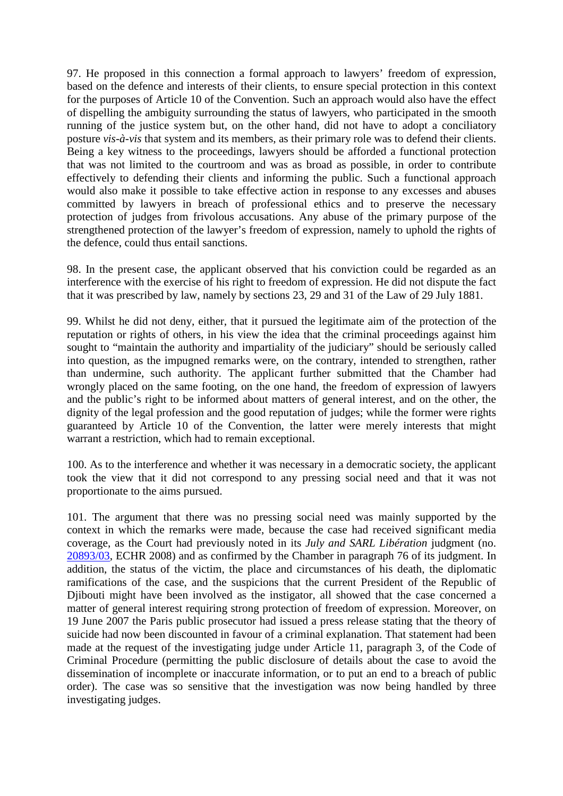97. He proposed in this connection a formal approach to lawyers' freedom of expression, based on the defence and interests of their clients, to ensure special protection in this context for the purposes of Article 10 of the Convention. Such an approach would also have the effect of dispelling the ambiguity surrounding the status of lawyers, who participated in the smooth running of the justice system but, on the other hand, did not have to adopt a conciliatory posture *vis-à-vis* that system and its members, as their primary role was to defend their clients. Being a key witness to the proceedings, lawyers should be afforded a functional protection that was not limited to the courtroom and was as broad as possible, in order to contribute effectively to defending their clients and informing the public. Such a functional approach would also make it possible to take effective action in response to any excesses and abuses committed by lawyers in breach of professional ethics and to preserve the necessary protection of judges from frivolous accusations. Any abuse of the primary purpose of the strengthened protection of the lawyer's freedom of expression, namely to uphold the rights of the defence, could thus entail sanctions.

98. In the present case, the applicant observed that his conviction could be regarded as an interference with the exercise of his right to freedom of expression. He did not dispute the fact that it was prescribed by law, namely by sections 23, 29 and 31 of the Law of 29 July 1881.

99. Whilst he did not deny, either, that it pursued the legitimate aim of the protection of the reputation or rights of others, in his view the idea that the criminal proceedings against him sought to "maintain the authority and impartiality of the judiciary" should be seriously called into question, as the impugned remarks were, on the contrary, intended to strengthen, rather than undermine, such authority. The applicant further submitted that the Chamber had wrongly placed on the same footing, on the one hand, the freedom of expression of lawyers and the public's right to be informed about matters of general interest, and on the other, the dignity of the legal profession and the good reputation of judges; while the former were rights guaranteed by Article 10 of the Convention, the latter were merely interests that might warrant a restriction, which had to remain exceptional.

100. As to the interference and whether it was necessary in a democratic society, the applicant took the view that it did not correspond to any pressing social need and that it was not proportionate to the aims pursued.

101. The argument that there was no pressing social need was mainly supported by the context in which the remarks were made, because the case had received significant media coverage, as the Court had previously noted in its *July and SARL Libération* judgment (no. 20893/03, ECHR 2008) and as confirmed by the Chamber in paragraph 76 of its judgment. In addition, the status of the victim, the place and circumstances of his death, the diplomatic ramifications of the case, and the suspicions that the current President of the Republic of Djibouti might have been involved as the instigator, all showed that the case concerned a matter of general interest requiring strong protection of freedom of expression. Moreover, on 19 June 2007 the Paris public prosecutor had issued a press release stating that the theory of suicide had now been discounted in favour of a criminal explanation. That statement had been made at the request of the investigating judge under Article 11, paragraph 3, of the Code of Criminal Procedure (permitting the public disclosure of details about the case to avoid the dissemination of incomplete or inaccurate information, or to put an end to a breach of public order). The case was so sensitive that the investigation was now being handled by three investigating judges.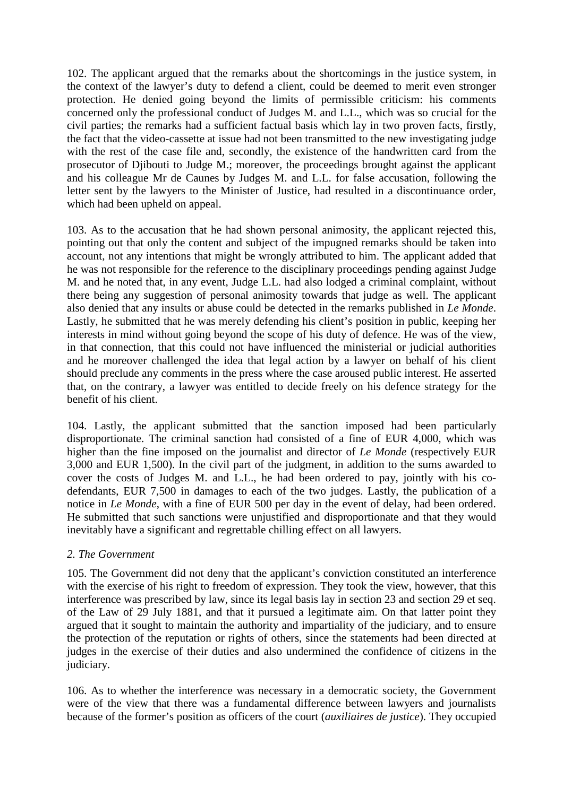102. The applicant argued that the remarks about the shortcomings in the justice system, in the context of the lawyer's duty to defend a client, could be deemed to merit even stronger protection. He denied going beyond the limits of permissible criticism: his comments concerned only the professional conduct of Judges M. and L.L., which was so crucial for the civil parties; the remarks had a sufficient factual basis which lay in two proven facts, firstly, the fact that the video-cassette at issue had not been transmitted to the new investigating judge with the rest of the case file and, secondly, the existence of the handwritten card from the prosecutor of Djibouti to Judge M.; moreover, the proceedings brought against the applicant and his colleague Mr de Caunes by Judges M. and L.L. for false accusation, following the letter sent by the lawyers to the Minister of Justice, had resulted in a discontinuance order, which had been upheld on appeal.

103. As to the accusation that he had shown personal animosity, the applicant rejected this, pointing out that only the content and subject of the impugned remarks should be taken into account, not any intentions that might be wrongly attributed to him. The applicant added that he was not responsible for the reference to the disciplinary proceedings pending against Judge M. and he noted that, in any event, Judge L.L. had also lodged a criminal complaint, without there being any suggestion of personal animosity towards that judge as well. The applicant also denied that any insults or abuse could be detected in the remarks published in *Le Monde*. Lastly, he submitted that he was merely defending his client's position in public, keeping her interests in mind without going beyond the scope of his duty of defence. He was of the view, in that connection, that this could not have influenced the ministerial or judicial authorities and he moreover challenged the idea that legal action by a lawyer on behalf of his client should preclude any comments in the press where the case aroused public interest. He asserted that, on the contrary, a lawyer was entitled to decide freely on his defence strategy for the benefit of his client.

104. Lastly, the applicant submitted that the sanction imposed had been particularly disproportionate. The criminal sanction had consisted of a fine of EUR 4,000, which was higher than the fine imposed on the journalist and director of *Le Monde* (respectively EUR 3,000 and EUR 1,500). In the civil part of the judgment, in addition to the sums awarded to cover the costs of Judges M. and L.L., he had been ordered to pay, jointly with his codefendants, EUR 7,500 in damages to each of the two judges. Lastly, the publication of a notice in *Le Monde*, with a fine of EUR 500 per day in the event of delay, had been ordered. He submitted that such sanctions were unjustified and disproportionate and that they would inevitably have a significant and regrettable chilling effect on all lawyers.

### *2. The Government*

105. The Government did not deny that the applicant's conviction constituted an interference with the exercise of his right to freedom of expression. They took the view, however, that this interference was prescribed by law, since its legal basis lay in section 23 and section 29 et seq. of the Law of 29 July 1881, and that it pursued a legitimate aim. On that latter point they argued that it sought to maintain the authority and impartiality of the judiciary, and to ensure the protection of the reputation or rights of others, since the statements had been directed at judges in the exercise of their duties and also undermined the confidence of citizens in the judiciary.

106. As to whether the interference was necessary in a democratic society, the Government were of the view that there was a fundamental difference between lawyers and journalists because of the former's position as officers of the court (*auxiliaires de justice*). They occupied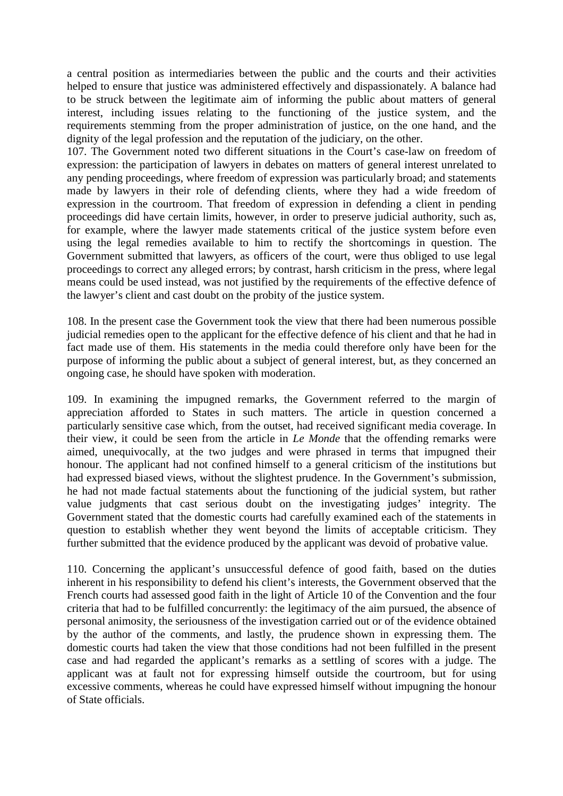a central position as intermediaries between the public and the courts and their activities helped to ensure that justice was administered effectively and dispassionately. A balance had to be struck between the legitimate aim of informing the public about matters of general interest, including issues relating to the functioning of the justice system, and the requirements stemming from the proper administration of justice, on the one hand, and the dignity of the legal profession and the reputation of the judiciary, on the other.

107. The Government noted two different situations in the Court's case-law on freedom of expression: the participation of lawyers in debates on matters of general interest unrelated to any pending proceedings, where freedom of expression was particularly broad; and statements made by lawyers in their role of defending clients, where they had a wide freedom of expression in the courtroom. That freedom of expression in defending a client in pending proceedings did have certain limits, however, in order to preserve judicial authority, such as, for example, where the lawyer made statements critical of the justice system before even using the legal remedies available to him to rectify the shortcomings in question. The Government submitted that lawyers, as officers of the court, were thus obliged to use legal proceedings to correct any alleged errors; by contrast, harsh criticism in the press, where legal means could be used instead, was not justified by the requirements of the effective defence of the lawyer's client and cast doubt on the probity of the justice system.

108. In the present case the Government took the view that there had been numerous possible judicial remedies open to the applicant for the effective defence of his client and that he had in fact made use of them. His statements in the media could therefore only have been for the purpose of informing the public about a subject of general interest, but, as they concerned an ongoing case, he should have spoken with moderation.

109. In examining the impugned remarks, the Government referred to the margin of appreciation afforded to States in such matters. The article in question concerned a particularly sensitive case which, from the outset, had received significant media coverage. In their view, it could be seen from the article in *Le Monde* that the offending remarks were aimed, unequivocally, at the two judges and were phrased in terms that impugned their honour. The applicant had not confined himself to a general criticism of the institutions but had expressed biased views, without the slightest prudence. In the Government's submission, he had not made factual statements about the functioning of the judicial system, but rather value judgments that cast serious doubt on the investigating judges' integrity. The Government stated that the domestic courts had carefully examined each of the statements in question to establish whether they went beyond the limits of acceptable criticism. They further submitted that the evidence produced by the applicant was devoid of probative value.

110. Concerning the applicant's unsuccessful defence of good faith, based on the duties inherent in his responsibility to defend his client's interests, the Government observed that the French courts had assessed good faith in the light of Article 10 of the Convention and the four criteria that had to be fulfilled concurrently: the legitimacy of the aim pursued, the absence of personal animosity, the seriousness of the investigation carried out or of the evidence obtained by the author of the comments, and lastly, the prudence shown in expressing them. The domestic courts had taken the view that those conditions had not been fulfilled in the present case and had regarded the applicant's remarks as a settling of scores with a judge. The applicant was at fault not for expressing himself outside the courtroom, but for using excessive comments, whereas he could have expressed himself without impugning the honour of State officials.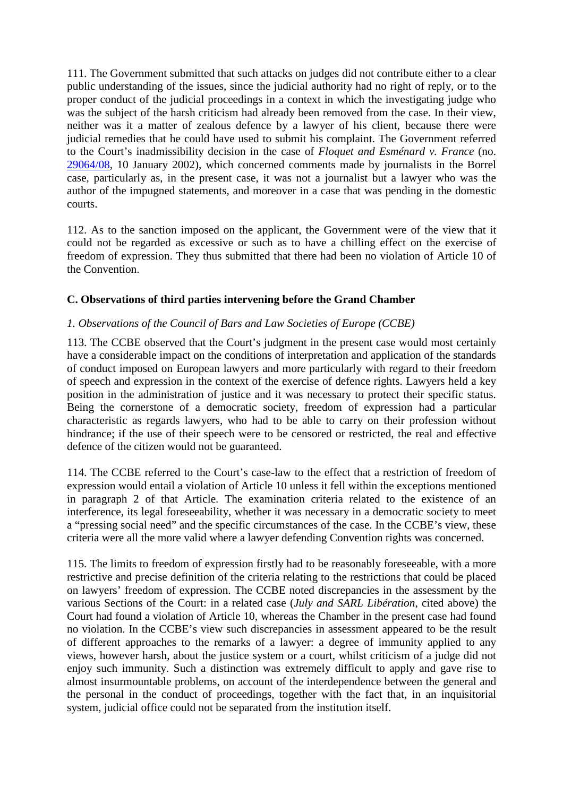111. The Government submitted that such attacks on judges did not contribute either to a clear public understanding of the issues, since the judicial authority had no right of reply, or to the proper conduct of the judicial proceedings in a context in which the investigating judge who was the subject of the harsh criticism had already been removed from the case. In their view, neither was it a matter of zealous defence by a lawyer of his client, because there were judicial remedies that he could have used to submit his complaint. The Government referred to the Court's inadmissibility decision in the case of *Floquet and Esménard v. France* (no. 29064/08, 10 January 2002), which concerned comments made by journalists in the Borrel case, particularly as, in the present case, it was not a journalist but a lawyer who was the author of the impugned statements, and moreover in a case that was pending in the domestic courts.

112. As to the sanction imposed on the applicant, the Government were of the view that it could not be regarded as excessive or such as to have a chilling effect on the exercise of freedom of expression. They thus submitted that there had been no violation of Article 10 of the Convention.

## **C. Observations of third parties intervening before the Grand Chamber**

### *1. Observations of the Council of Bars and Law Societies of Europe (CCBE)*

113. The CCBE observed that the Court's judgment in the present case would most certainly have a considerable impact on the conditions of interpretation and application of the standards of conduct imposed on European lawyers and more particularly with regard to their freedom of speech and expression in the context of the exercise of defence rights. Lawyers held a key position in the administration of justice and it was necessary to protect their specific status. Being the cornerstone of a democratic society, freedom of expression had a particular characteristic as regards lawyers, who had to be able to carry on their profession without hindrance; if the use of their speech were to be censored or restricted, the real and effective defence of the citizen would not be guaranteed.

114. The CCBE referred to the Court's case-law to the effect that a restriction of freedom of expression would entail a violation of Article 10 unless it fell within the exceptions mentioned in paragraph 2 of that Article. The examination criteria related to the existence of an interference, its legal foreseeability, whether it was necessary in a democratic society to meet a "pressing social need" and the specific circumstances of the case. In the CCBE's view, these criteria were all the more valid where a lawyer defending Convention rights was concerned.

115. The limits to freedom of expression firstly had to be reasonably foreseeable, with a more restrictive and precise definition of the criteria relating to the restrictions that could be placed on lawyers' freedom of expression. The CCBE noted discrepancies in the assessment by the various Sections of the Court: in a related case (*July and SARL Libération*, cited above) the Court had found a violation of Article 10, whereas the Chamber in the present case had found no violation. In the CCBE's view such discrepancies in assessment appeared to be the result of different approaches to the remarks of a lawyer: a degree of immunity applied to any views, however harsh, about the justice system or a court, whilst criticism of a judge did not enjoy such immunity. Such a distinction was extremely difficult to apply and gave rise to almost insurmountable problems, on account of the interdependence between the general and the personal in the conduct of proceedings, together with the fact that, in an inquisitorial system, judicial office could not be separated from the institution itself.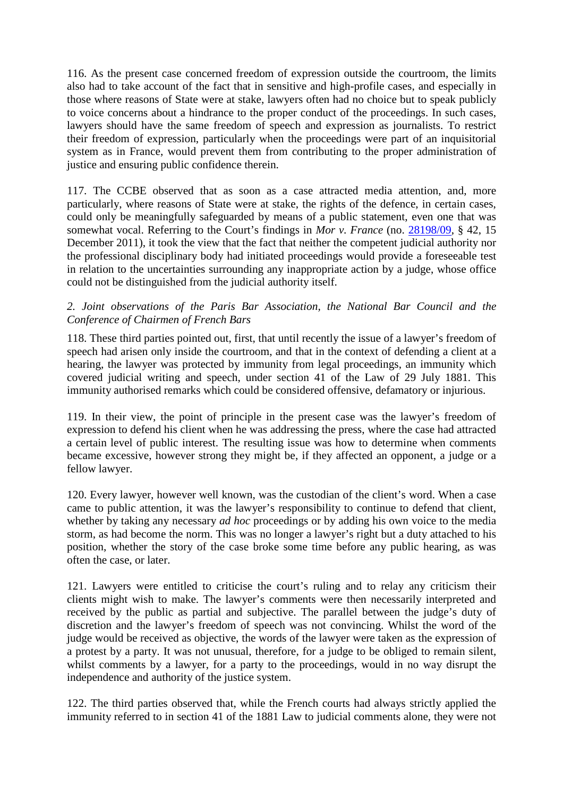116. As the present case concerned freedom of expression outside the courtroom, the limits also had to take account of the fact that in sensitive and high-profile cases, and especially in those where reasons of State were at stake, lawyers often had no choice but to speak publicly to voice concerns about a hindrance to the proper conduct of the proceedings. In such cases, lawyers should have the same freedom of speech and expression as journalists. To restrict their freedom of expression, particularly when the proceedings were part of an inquisitorial system as in France, would prevent them from contributing to the proper administration of justice and ensuring public confidence therein.

117. The CCBE observed that as soon as a case attracted media attention, and, more particularly, where reasons of State were at stake, the rights of the defence, in certain cases, could only be meaningfully safeguarded by means of a public statement, even one that was somewhat vocal. Referring to the Court's findings in *Mor v. France* (no. 28198/09, § 42, 15 December 2011), it took the view that the fact that neither the competent judicial authority nor the professional disciplinary body had initiated proceedings would provide a foreseeable test in relation to the uncertainties surrounding any inappropriate action by a judge, whose office could not be distinguished from the judicial authority itself.

### *2. Joint observations of the Paris Bar Association, the National Bar Council and the Conference of Chairmen of French Bars*

118. These third parties pointed out, first, that until recently the issue of a lawyer's freedom of speech had arisen only inside the courtroom, and that in the context of defending a client at a hearing, the lawyer was protected by immunity from legal proceedings, an immunity which covered judicial writing and speech, under section 41 of the Law of 29 July 1881. This immunity authorised remarks which could be considered offensive, defamatory or injurious.

119. In their view, the point of principle in the present case was the lawyer's freedom of expression to defend his client when he was addressing the press, where the case had attracted a certain level of public interest. The resulting issue was how to determine when comments became excessive, however strong they might be, if they affected an opponent, a judge or a fellow lawyer.

120. Every lawyer, however well known, was the custodian of the client's word. When a case came to public attention, it was the lawyer's responsibility to continue to defend that client, whether by taking any necessary *ad hoc* proceedings or by adding his own voice to the media storm, as had become the norm. This was no longer a lawyer's right but a duty attached to his position, whether the story of the case broke some time before any public hearing, as was often the case, or later.

121. Lawyers were entitled to criticise the court's ruling and to relay any criticism their clients might wish to make. The lawyer's comments were then necessarily interpreted and received by the public as partial and subjective. The parallel between the judge's duty of discretion and the lawyer's freedom of speech was not convincing. Whilst the word of the judge would be received as objective, the words of the lawyer were taken as the expression of a protest by a party. It was not unusual, therefore, for a judge to be obliged to remain silent, whilst comments by a lawyer, for a party to the proceedings, would in no way disrupt the independence and authority of the justice system.

122. The third parties observed that, while the French courts had always strictly applied the immunity referred to in section 41 of the 1881 Law to judicial comments alone, they were not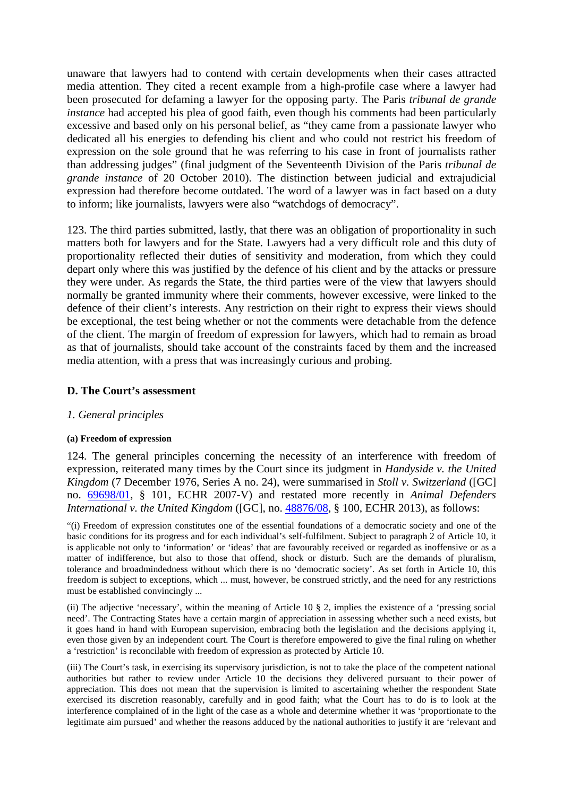unaware that lawyers had to contend with certain developments when their cases attracted media attention. They cited a recent example from a high-profile case where a lawyer had been prosecuted for defaming a lawyer for the opposing party. The Paris *tribunal de grande instance* had accepted his plea of good faith, even though his comments had been particularly excessive and based only on his personal belief, as "they came from a passionate lawyer who dedicated all his energies to defending his client and who could not restrict his freedom of expression on the sole ground that he was referring to his case in front of journalists rather than addressing judges" (final judgment of the Seventeenth Division of the Paris *tribunal de grande instance* of 20 October 2010). The distinction between judicial and extrajudicial expression had therefore become outdated. The word of a lawyer was in fact based on a duty to inform; like journalists, lawyers were also "watchdogs of democracy".

123. The third parties submitted, lastly, that there was an obligation of proportionality in such matters both for lawyers and for the State. Lawyers had a very difficult role and this duty of proportionality reflected their duties of sensitivity and moderation, from which they could depart only where this was justified by the defence of his client and by the attacks or pressure they were under. As regards the State, the third parties were of the view that lawyers should normally be granted immunity where their comments, however excessive, were linked to the defence of their client's interests. Any restriction on their right to express their views should be exceptional, the test being whether or not the comments were detachable from the defence of the client. The margin of freedom of expression for lawyers, which had to remain as broad as that of journalists, should take account of the constraints faced by them and the increased media attention, with a press that was increasingly curious and probing.

### **D. The Court's assessment**

### *1. General principles*

#### **(a) Freedom of expression**

124. The general principles concerning the necessity of an interference with freedom of expression, reiterated many times by the Court since its judgment in *Handyside v. the United Kingdom* (7 December 1976, Series A no. 24), were summarised in *Stoll v. Switzerland* ([GC] no. 69698/01, § 101, ECHR 2007-V) and restated more recently in *Animal Defenders International v. the United Kingdom* ([GC], no. 48876/08, § 100, ECHR 2013), as follows:

"(i) Freedom of expression constitutes one of the essential foundations of a democratic society and one of the basic conditions for its progress and for each individual's self-fulfilment. Subject to paragraph 2 of Article 10, it is applicable not only to 'information' or 'ideas' that are favourably received or regarded as inoffensive or as a matter of indifference, but also to those that offend, shock or disturb. Such are the demands of pluralism, tolerance and broadmindedness without which there is no 'democratic society'. As set forth in Article 10, this freedom is subject to exceptions, which ... must, however, be construed strictly, and the need for any restrictions must be established convincingly ...

(ii) The adjective 'necessary', within the meaning of Article 10 § 2, implies the existence of a 'pressing social need'. The Contracting States have a certain margin of appreciation in assessing whether such a need exists, but it goes hand in hand with European supervision, embracing both the legislation and the decisions applying it, even those given by an independent court. The Court is therefore empowered to give the final ruling on whether a 'restriction' is reconcilable with freedom of expression as protected by Article 10.

(iii) The Court's task, in exercising its supervisory jurisdiction, is not to take the place of the competent national authorities but rather to review under Article 10 the decisions they delivered pursuant to their power of appreciation. This does not mean that the supervision is limited to ascertaining whether the respondent State exercised its discretion reasonably, carefully and in good faith; what the Court has to do is to look at the interference complained of in the light of the case as a whole and determine whether it was 'proportionate to the legitimate aim pursued' and whether the reasons adduced by the national authorities to justify it are 'relevant and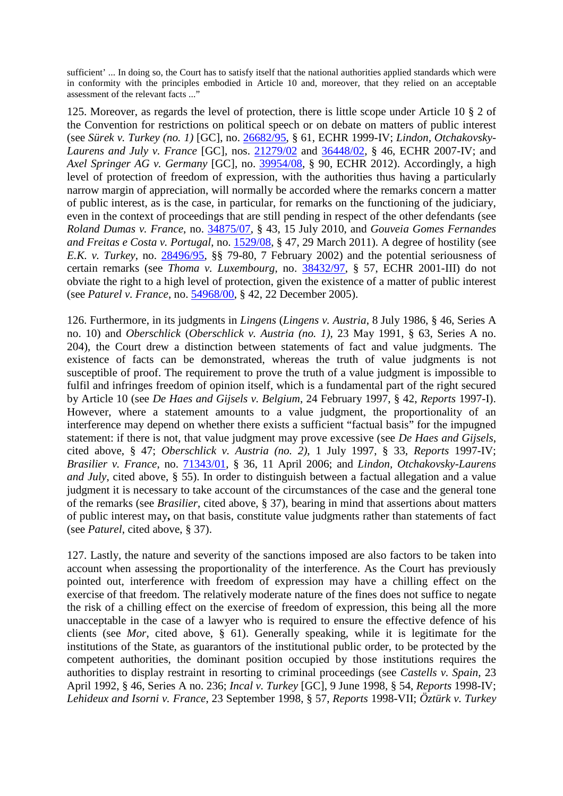sufficient' ... In doing so, the Court has to satisfy itself that the national authorities applied standards which were in conformity with the principles embodied in Article 10 and, moreover, that they relied on an acceptable assessment of the relevant facts ..."

125. Moreover, as regards the level of protection, there is little scope under Article 10 § 2 of the Convention for restrictions on political speech or on debate on matters of public interest (see *Sürek v. Turkey (no. 1)* [GC], no. 26682/95, § 61, ECHR 1999-IV; *Lindon, Otchakovsky-Laurens and July v. France* [GC], nos. 21279/02 and 36448/02, § 46, ECHR 2007-IV; and *Axel Springer AG v. Germany* [GC], no. 39954/08, § 90, ECHR 2012). Accordingly, a high level of protection of freedom of expression, with the authorities thus having a particularly narrow margin of appreciation, will normally be accorded where the remarks concern a matter of public interest, as is the case, in particular, for remarks on the functioning of the judiciary, even in the context of proceedings that are still pending in respect of the other defendants (see *Roland Dumas v. France*, no. 34875/07, § 43, 15 July 2010, and *Gouveia Gomes Fernandes and Freitas e Costa v. Portugal*, no. 1529/08, § 47, 29 March 2011). A degree of hostility (see *E.K. v. Turkey*, no. 28496/95, §§ 79-80, 7 February 2002) and the potential seriousness of certain remarks (see *Thoma v. Luxembourg*, no. 38432/97, § 57, ECHR 2001-III) do not obviate the right to a high level of protection, given the existence of a matter of public interest (see *Paturel v. France*, no. 54968/00, § 42, 22 December 2005).

126. Furthermore, in its judgments in *Lingens* (*Lingens v. Austria*, 8 July 1986, § 46, Series A no. 10) and *Oberschlick* (*Oberschlick v. Austria (no. 1)*, 23 May 1991, § 63, Series A no. 204), the Court drew a distinction between statements of fact and value judgments. The existence of facts can be demonstrated, whereas the truth of value judgments is not susceptible of proof. The requirement to prove the truth of a value judgment is impossible to fulfil and infringes freedom of opinion itself, which is a fundamental part of the right secured by Article 10 (see *De Haes and Gijsels v. Belgium*, 24 February 1997, § 42, *Reports* 1997-I). However, where a statement amounts to a value judgment, the proportionality of an interference may depend on whether there exists a sufficient "factual basis" for the impugned statement: if there is not, that value judgment may prove excessive (see *De Haes and Gijsels*, cited above, § 47; *Oberschlick v. Austria (no. 2)*, 1 July 1997, § 33, *Reports* 1997-IV; *Brasilier v. France*, no. 71343/01, § 36, 11 April 2006; and *Lindon, Otchakovsky-Laurens and July*, cited above, § 55). In order to distinguish between a factual allegation and a value judgment it is necessary to take account of the circumstances of the case and the general tone of the remarks (see *Brasilier*, cited above, § 37), bearing in mind that assertions about matters of public interest may**,** on that basis, constitute value judgments rather than statements of fact (see *Paturel*, cited above, § 37).

127. Lastly, the nature and severity of the sanctions imposed are also factors to be taken into account when assessing the proportionality of the interference. As the Court has previously pointed out, interference with freedom of expression may have a chilling effect on the exercise of that freedom. The relatively moderate nature of the fines does not suffice to negate the risk of a chilling effect on the exercise of freedom of expression, this being all the more unacceptable in the case of a lawyer who is required to ensure the effective defence of his clients (see *Mor*, cited above, § 61). Generally speaking, while it is legitimate for the institutions of the State, as guarantors of the institutional public order, to be protected by the competent authorities, the dominant position occupied by those institutions requires the authorities to display restraint in resorting to criminal proceedings (see *Castells v. Spain*, 23 April 1992, § 46, Series A no. 236; *Incal v. Turkey* [GC], 9 June 1998, § 54, *Reports* 1998-IV; *Lehideux and Isorni v. France*, 23 September 1998, § 57, *Reports* 1998-VII; *Öztürk v. Turkey*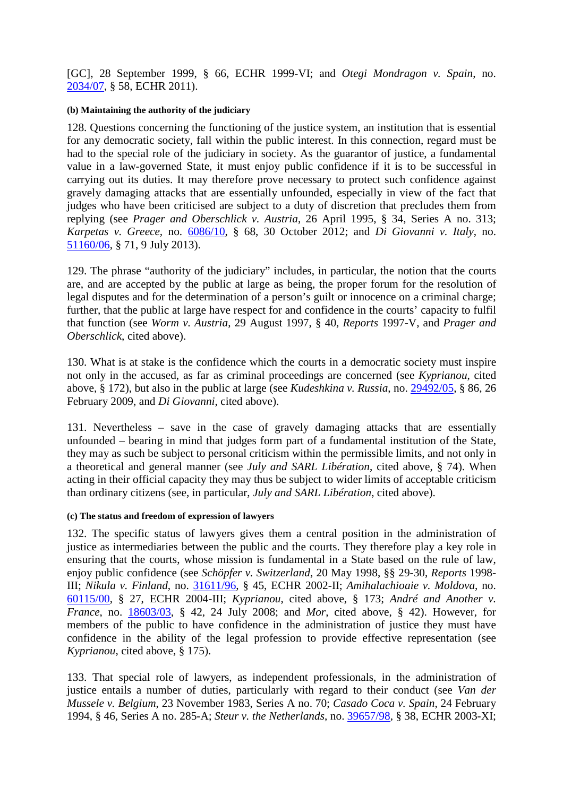[GC], 28 September 1999, § 66, ECHR 1999-VI; and *Otegi Mondragon v. Spain*, no. 2034/07, § 58, ECHR 2011).

#### **(b) Maintaining the authority of the judiciary**

128. Questions concerning the functioning of the justice system, an institution that is essential for any democratic society, fall within the public interest. In this connection, regard must be had to the special role of the judiciary in society. As the guarantor of justice, a fundamental value in a law-governed State, it must enjoy public confidence if it is to be successful in carrying out its duties. It may therefore prove necessary to protect such confidence against gravely damaging attacks that are essentially unfounded, especially in view of the fact that judges who have been criticised are subject to a duty of discretion that precludes them from replying (see *Prager and Oberschlick v. Austria*, 26 April 1995, § 34, Series A no. 313; *Karpetas v. Greece,* no. 6086/10, § 68, 30 October 2012; and *Di Giovanni v. Italy*, no. 51160/06, § 71, 9 July 2013).

129. The phrase "authority of the judiciary" includes, in particular, the notion that the courts are, and are accepted by the public at large as being, the proper forum for the resolution of legal disputes and for the determination of a person's guilt or innocence on a criminal charge; further, that the public at large have respect for and confidence in the courts' capacity to fulfil that function (see *Worm v. Austria*, 29 August 1997, § 40, *Reports* 1997-V, and *Prager and Oberschlick*, cited above).

130. What is at stake is the confidence which the courts in a democratic society must inspire not only in the accused, as far as criminal proceedings are concerned (see *Kyprianou*, cited above, § 172), but also in the public at large (see *Kudeshkina v. Russia*, no. 29492/05, § 86, 26 February 2009, and *Di Giovanni*, cited above).

131. Nevertheless – save in the case of gravely damaging attacks that are essentially unfounded – bearing in mind that judges form part of a fundamental institution of the State, they may as such be subject to personal criticism within the permissible limits, and not only in a theoretical and general manner (see *July and SARL Libération*, cited above, § 74). When acting in their official capacity they may thus be subject to wider limits of acceptable criticism than ordinary citizens (see, in particular, *July and SARL Libération*, cited above).

### **(c) The status and freedom of expression of lawyers**

132. The specific status of lawyers gives them a central position in the administration of justice as intermediaries between the public and the courts. They therefore play a key role in ensuring that the courts, whose mission is fundamental in a State based on the rule of law, enjoy public confidence (see *Schöpfer v. Switzerland*, 20 May 1998, §§ 29-30, *Reports* 1998- III; *Nikula v. Finland*, no. 31611/96, § 45, ECHR 2002-II; *Amihalachioaie v. Moldova*, no. 60115/00, § 27, ECHR 2004-III; *Kyprianou*, cited above, § 173; *André and Another v. France*, no. 18603/03, § 42, 24 July 2008; and *Mor*, cited above, § 42). However, for members of the public to have confidence in the administration of justice they must have confidence in the ability of the legal profession to provide effective representation (see *Kyprianou*, cited above, § 175).

133. That special role of lawyers, as independent professionals, in the administration of justice entails a number of duties, particularly with regard to their conduct (see *Van der Mussele v. Belgium*, 23 November 1983, Series A no. 70; *Casado Coca v. Spain*, 24 February 1994, § 46, Series A no. 285-A; *Steur v. the Netherlands*, no. 39657/98, § 38, ECHR 2003-XI;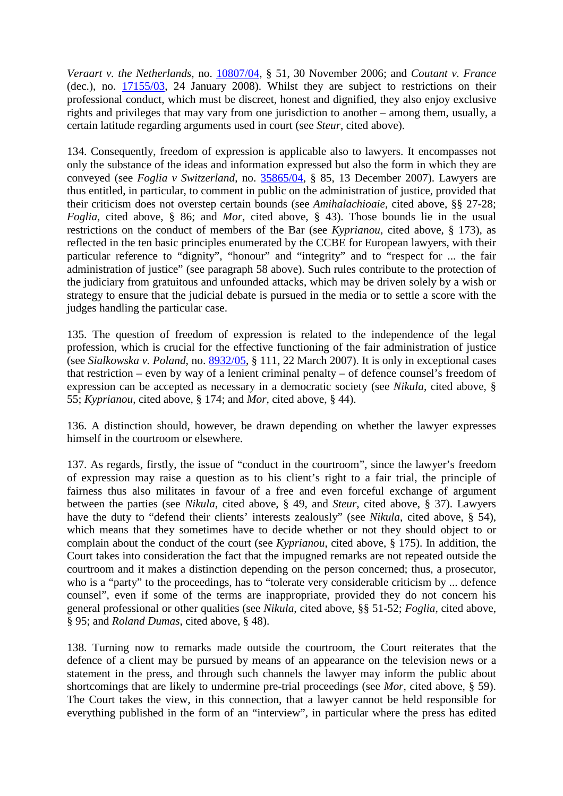*Veraart v. the Netherlands*, no. 10807/04, § 51, 30 November 2006; and *Coutant v. France* (dec.), no. 17155/03, 24 January 2008). Whilst they are subject to restrictions on their professional conduct, which must be discreet, honest and dignified, they also enjoy exclusive rights and privileges that may vary from one jurisdiction to another – among them, usually, a certain latitude regarding arguments used in court (see *Steur*, cited above).

134. Consequently, freedom of expression is applicable also to lawyers. It encompasses not only the substance of the ideas and information expressed but also the form in which they are conveyed (see *Foglia v Switzerland*, no. 35865/04, § 85, 13 December 2007). Lawyers are thus entitled, in particular, to comment in public on the administration of justice, provided that their criticism does not overstep certain bounds (see *Amihalachioaie,* cited above, §§ 27-28; *Foglia*, cited above, § 86; and *Mor*, cited above, § 43). Those bounds lie in the usual restrictions on the conduct of members of the Bar (see *Kyprianou*, cited above, § 173), as reflected in the ten basic principles enumerated by the CCBE for European lawyers, with their particular reference to "dignity", "honour" and "integrity" and to "respect for ... the fair administration of justice" (see paragraph 58 above). Such rules contribute to the protection of the judiciary from gratuitous and unfounded attacks, which may be driven solely by a wish or strategy to ensure that the judicial debate is pursued in the media or to settle a score with the judges handling the particular case.

135. The question of freedom of expression is related to the independence of the legal profession, which is crucial for the effective functioning of the fair administration of justice (see *Sialkowska v. Poland*, no. 8932/05, § 111, 22 March 2007). It is only in exceptional cases that restriction – even by way of a lenient criminal penalty – of defence counsel's freedom of expression can be accepted as necessary in a democratic society (see *Nikula*, cited above, § 55; *Kyprianou*, cited above, § 174; and *Mor*, cited above, § 44).

136. A distinction should, however, be drawn depending on whether the lawyer expresses himself in the courtroom or elsewhere.

137. As regards, firstly, the issue of "conduct in the courtroom", since the lawyer's freedom of expression may raise a question as to his client's right to a fair trial, the principle of fairness thus also militates in favour of a free and even forceful exchange of argument between the parties (see *Nikula*, cited above, § 49, and *Steur*, cited above, § 37). Lawyers have the duty to "defend their clients' interests zealously" (see *Nikula*, cited above, § 54), which means that they sometimes have to decide whether or not they should object to or complain about the conduct of the court (see *Kyprianou*, cited above, § 175). In addition, the Court takes into consideration the fact that the impugned remarks are not repeated outside the courtroom and it makes a distinction depending on the person concerned; thus, a prosecutor, who is a "party" to the proceedings, has to "tolerate very considerable criticism by ... defence counsel", even if some of the terms are inappropriate, provided they do not concern his general professional or other qualities (see *Nikula*, cited above, §§ 51-52; *Foglia*, cited above, § 95; and *Roland Dumas*, cited above, § 48).

138. Turning now to remarks made outside the courtroom, the Court reiterates that the defence of a client may be pursued by means of an appearance on the television news or a statement in the press, and through such channels the lawyer may inform the public about shortcomings that are likely to undermine pre-trial proceedings (see *Mor*, cited above, § 59). The Court takes the view, in this connection, that a lawyer cannot be held responsible for everything published in the form of an "interview", in particular where the press has edited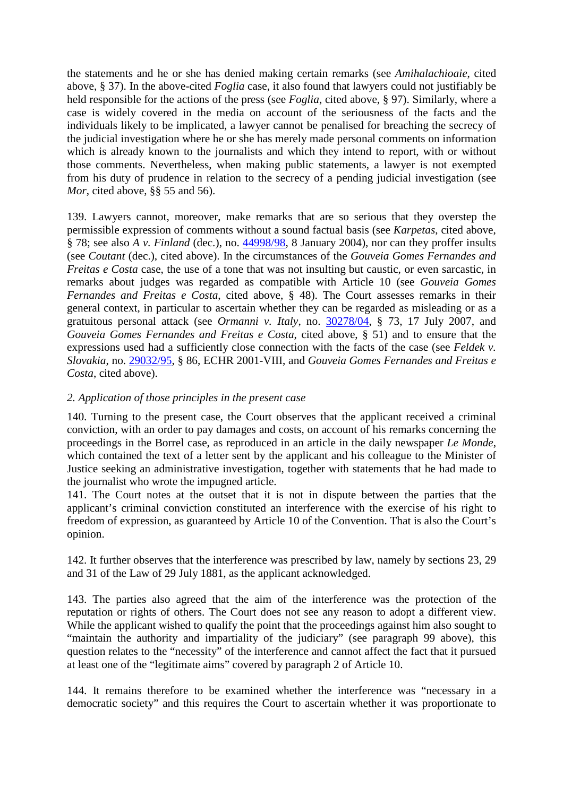the statements and he or she has denied making certain remarks (see *Amihalachioaie*, cited above, § 37). In the above-cited *Foglia* case, it also found that lawyers could not justifiably be held responsible for the actions of the press (see *Foglia*, cited above, § 97). Similarly, where a case is widely covered in the media on account of the seriousness of the facts and the individuals likely to be implicated, a lawyer cannot be penalised for breaching the secrecy of the judicial investigation where he or she has merely made personal comments on information which is already known to the journalists and which they intend to report, with or without those comments. Nevertheless, when making public statements, a lawyer is not exempted from his duty of prudence in relation to the secrecy of a pending judicial investigation (see *Mor*, cited above, §§ 55 and 56).

139. Lawyers cannot, moreover, make remarks that are so serious that they overstep the permissible expression of comments without a sound factual basis (see *Karpetas*, cited above, § 78; see also *A v. Finland* (dec.), no. 44998/98, 8 January 2004), nor can they proffer insults (see *Coutant* (dec.), cited above). In the circumstances of the *Gouveia Gomes Fernandes and Freitas e Costa* case, the use of a tone that was not insulting but caustic, or even sarcastic, in remarks about judges was regarded as compatible with Article 10 (see *Gouveia Gomes Fernandes and Freitas e Costa*, cited above, § 48). The Court assesses remarks in their general context, in particular to ascertain whether they can be regarded as misleading or as a gratuitous personal attack (see *Ormanni v. Italy*, no. 30278/04, § 73, 17 July 2007, and *Gouveia Gomes Fernandes and Freitas e Costa*, cited above, § 51) and to ensure that the expressions used had a sufficiently close connection with the facts of the case (see *Feldek v. Slovakia*, no. 29032/95, § 86, ECHR 2001-VIII, and *Gouveia Gomes Fernandes and Freitas e Costa*, cited above).

## *2. Application of those principles in the present case*

140. Turning to the present case, the Court observes that the applicant received a criminal conviction, with an order to pay damages and costs, on account of his remarks concerning the proceedings in the Borrel case, as reproduced in an article in the daily newspaper *Le Monde*, which contained the text of a letter sent by the applicant and his colleague to the Minister of Justice seeking an administrative investigation, together with statements that he had made to the journalist who wrote the impugned article.

141. The Court notes at the outset that it is not in dispute between the parties that the applicant's criminal conviction constituted an interference with the exercise of his right to freedom of expression, as guaranteed by Article 10 of the Convention. That is also the Court's opinion.

142. It further observes that the interference was prescribed by law, namely by sections 23, 29 and 31 of the Law of 29 July 1881, as the applicant acknowledged.

143. The parties also agreed that the aim of the interference was the protection of the reputation or rights of others. The Court does not see any reason to adopt a different view. While the applicant wished to qualify the point that the proceedings against him also sought to "maintain the authority and impartiality of the judiciary" (see paragraph 99 above), this question relates to the "necessity" of the interference and cannot affect the fact that it pursued at least one of the "legitimate aims" covered by paragraph 2 of Article 10.

144. It remains therefore to be examined whether the interference was "necessary in a democratic society" and this requires the Court to ascertain whether it was proportionate to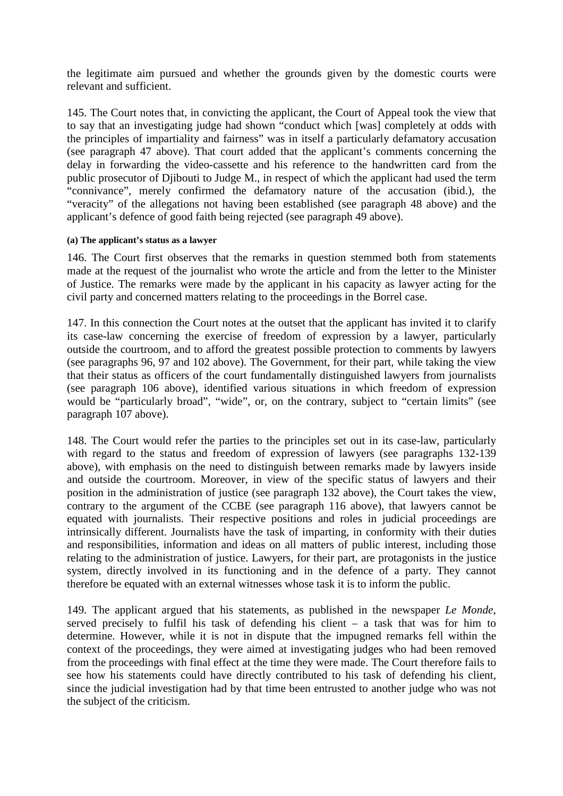the legitimate aim pursued and whether the grounds given by the domestic courts were relevant and sufficient.

145. The Court notes that, in convicting the applicant, the Court of Appeal took the view that to say that an investigating judge had shown "conduct which [was] completely at odds with the principles of impartiality and fairness" was in itself a particularly defamatory accusation (see paragraph 47 above). That court added that the applicant's comments concerning the delay in forwarding the video-cassette and his reference to the handwritten card from the public prosecutor of Djibouti to Judge M., in respect of which the applicant had used the term "connivance", merely confirmed the defamatory nature of the accusation (ibid.), the "veracity" of the allegations not having been established (see paragraph 48 above) and the applicant's defence of good faith being rejected (see paragraph 49 above).

#### **(a) The applicant's status as a lawyer**

146. The Court first observes that the remarks in question stemmed both from statements made at the request of the journalist who wrote the article and from the letter to the Minister of Justice. The remarks were made by the applicant in his capacity as lawyer acting for the civil party and concerned matters relating to the proceedings in the Borrel case.

147. In this connection the Court notes at the outset that the applicant has invited it to clarify its case-law concerning the exercise of freedom of expression by a lawyer, particularly outside the courtroom, and to afford the greatest possible protection to comments by lawyers (see paragraphs 96, 97 and 102 above). The Government, for their part, while taking the view that their status as officers of the court fundamentally distinguished lawyers from journalists (see paragraph 106 above), identified various situations in which freedom of expression would be "particularly broad", "wide", or, on the contrary, subject to "certain limits" (see paragraph 107 above).

148. The Court would refer the parties to the principles set out in its case-law, particularly with regard to the status and freedom of expression of lawyers (see paragraphs 132-139 above), with emphasis on the need to distinguish between remarks made by lawyers inside and outside the courtroom. Moreover, in view of the specific status of lawyers and their position in the administration of justice (see paragraph 132 above), the Court takes the view, contrary to the argument of the CCBE (see paragraph 116 above), that lawyers cannot be equated with journalists. Their respective positions and roles in judicial proceedings are intrinsically different. Journalists have the task of imparting, in conformity with their duties and responsibilities, information and ideas on all matters of public interest, including those relating to the administration of justice. Lawyers, for their part, are protagonists in the justice system, directly involved in its functioning and in the defence of a party. They cannot therefore be equated with an external witnesses whose task it is to inform the public.

149. The applicant argued that his statements, as published in the newspaper *Le Monde*, served precisely to fulfil his task of defending his client – a task that was for him to determine. However, while it is not in dispute that the impugned remarks fell within the context of the proceedings, they were aimed at investigating judges who had been removed from the proceedings with final effect at the time they were made. The Court therefore fails to see how his statements could have directly contributed to his task of defending his client, since the judicial investigation had by that time been entrusted to another judge who was not the subject of the criticism.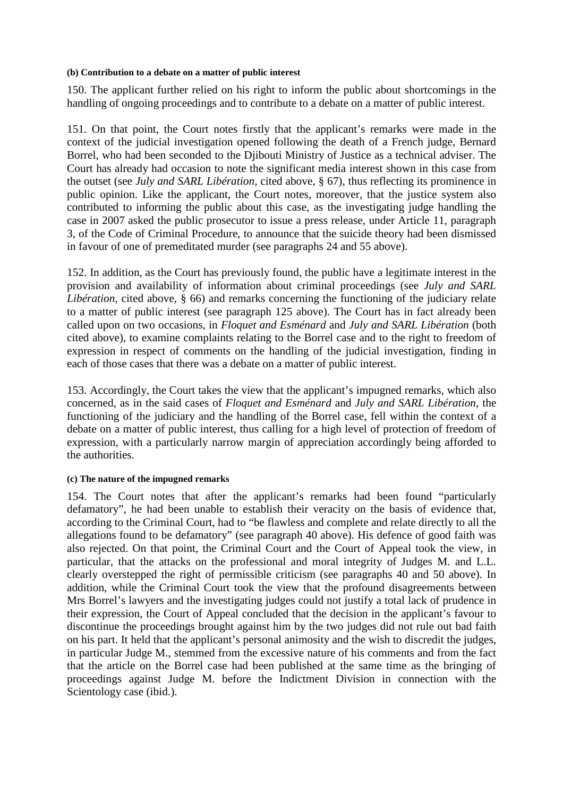#### **(b) Contribution to a debate on a matter of public interest**

150. The applicant further relied on his right to inform the public about shortcomings in the handling of ongoing proceedings and to contribute to a debate on a matter of public interest.

151. On that point, the Court notes firstly that the applicant's remarks were made in the context of the judicial investigation opened following the death of a French judge, Bernard Borrel, who had been seconded to the Djibouti Ministry of Justice as a technical adviser. The Court has already had occasion to note the significant media interest shown in this case from the outset (see *July and SARL Libération*, cited above, § 67), thus reflecting its prominence in public opinion. Like the applicant, the Court notes, moreover, that the justice system also contributed to informing the public about this case, as the investigating judge handling the case in 2007 asked the public prosecutor to issue a press release, under Article 11, paragraph 3, of the Code of Criminal Procedure, to announce that the suicide theory had been dismissed in favour of one of premeditated murder (see paragraphs 24 and 55 above).

152. In addition, as the Court has previously found, the public have a legitimate interest in the provision and availability of information about criminal proceedings (see *July and SARL Libération*, cited above, § 66) and remarks concerning the functioning of the judiciary relate to a matter of public interest (see paragraph 125 above). The Court has in fact already been called upon on two occasions, in *Floquet and Esménard* and *July and SARL Libération* (both cited above), to examine complaints relating to the Borrel case and to the right to freedom of expression in respect of comments on the handling of the judicial investigation, finding in each of those cases that there was a debate on a matter of public interest.

153. Accordingly, the Court takes the view that the applicant's impugned remarks, which also concerned, as in the said cases of *Floquet and Esménard* and *July and SARL Libération*, the functioning of the judiciary and the handling of the Borrel case, fell within the context of a debate on a matter of public interest, thus calling for a high level of protection of freedom of expression, with a particularly narrow margin of appreciation accordingly being afforded to the authorities.

### **(c) The nature of the impugned remarks**

154. The Court notes that after the applicant's remarks had been found "particularly defamatory", he had been unable to establish their veracity on the basis of evidence that, according to the Criminal Court, had to "be flawless and complete and relate directly to all the allegations found to be defamatory" (see paragraph 40 above). His defence of good faith was also rejected. On that point, the Criminal Court and the Court of Appeal took the view, in particular, that the attacks on the professional and moral integrity of Judges M. and L.L. clearly overstepped the right of permissible criticism (see paragraphs 40 and 50 above). In addition, while the Criminal Court took the view that the profound disagreements between Mrs Borrel's lawyers and the investigating judges could not justify a total lack of prudence in their expression, the Court of Appeal concluded that the decision in the applicant's favour to discontinue the proceedings brought against him by the two judges did not rule out bad faith on his part. It held that the applicant's personal animosity and the wish to discredit the judges, in particular Judge M., stemmed from the excessive nature of his comments and from the fact that the article on the Borrel case had been published at the same time as the bringing of proceedings against Judge M. before the Indictment Division in connection with the Scientology case (ibid.).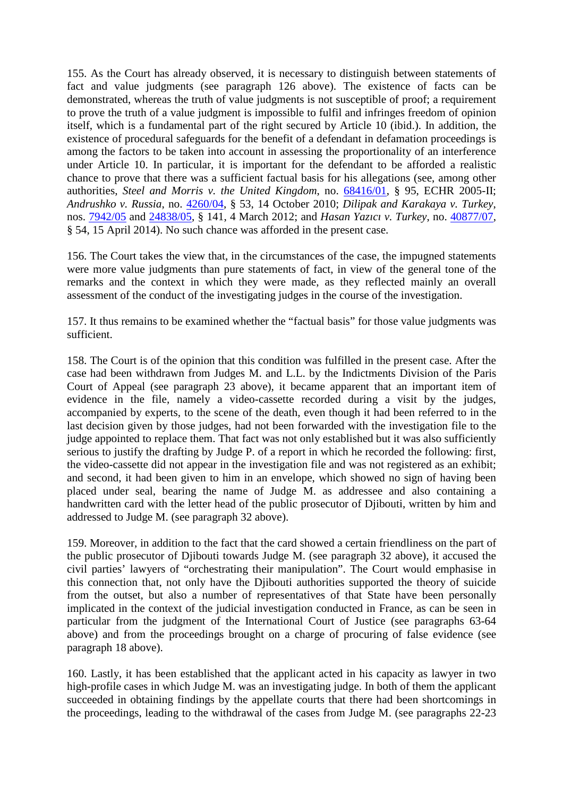155. As the Court has already observed, it is necessary to distinguish between statements of fact and value judgments (see paragraph 126 above). The existence of facts can be demonstrated, whereas the truth of value judgments is not susceptible of proof; a requirement to prove the truth of a value judgment is impossible to fulfil and infringes freedom of opinion itself, which is a fundamental part of the right secured by Article 10 (ibid.). In addition, the existence of procedural safeguards for the benefit of a defendant in defamation proceedings is among the factors to be taken into account in assessing the proportionality of an interference under Article 10. In particular, it is important for the defendant to be afforded a realistic chance to prove that there was a sufficient factual basis for his allegations (see, among other authorities, *Steel and Morris v. the United Kingdom*, no. 68416/01, § 95, ECHR 2005-II; *Andrushko v. Russia*, no. 4260/04, § 53, 14 October 2010; *Dilipak and Karakaya v. Turkey*, nos. 7942/05 and 24838/05, § 141, 4 March 2012; and *Hasan Yazıcı v. Turkey*, no. 40877/07, § 54, 15 April 2014). No such chance was afforded in the present case.

156. The Court takes the view that, in the circumstances of the case, the impugned statements were more value judgments than pure statements of fact, in view of the general tone of the remarks and the context in which they were made, as they reflected mainly an overall assessment of the conduct of the investigating judges in the course of the investigation.

157. It thus remains to be examined whether the "factual basis" for those value judgments was sufficient.

158. The Court is of the opinion that this condition was fulfilled in the present case. After the case had been withdrawn from Judges M. and L.L. by the Indictments Division of the Paris Court of Appeal (see paragraph 23 above), it became apparent that an important item of evidence in the file, namely a video-cassette recorded during a visit by the judges, accompanied by experts, to the scene of the death, even though it had been referred to in the last decision given by those judges, had not been forwarded with the investigation file to the judge appointed to replace them. That fact was not only established but it was also sufficiently serious to justify the drafting by Judge P. of a report in which he recorded the following: first, the video-cassette did not appear in the investigation file and was not registered as an exhibit; and second, it had been given to him in an envelope, which showed no sign of having been placed under seal, bearing the name of Judge M. as addressee and also containing a handwritten card with the letter head of the public prosecutor of Djibouti, written by him and addressed to Judge M. (see paragraph 32 above).

159. Moreover, in addition to the fact that the card showed a certain friendliness on the part of the public prosecutor of Djibouti towards Judge M. (see paragraph 32 above), it accused the civil parties' lawyers of "orchestrating their manipulation". The Court would emphasise in this connection that, not only have the Djibouti authorities supported the theory of suicide from the outset, but also a number of representatives of that State have been personally implicated in the context of the judicial investigation conducted in France, as can be seen in particular from the judgment of the International Court of Justice (see paragraphs 63-64 above) and from the proceedings brought on a charge of procuring of false evidence (see paragraph 18 above).

160. Lastly, it has been established that the applicant acted in his capacity as lawyer in two high-profile cases in which Judge M. was an investigating judge. In both of them the applicant succeeded in obtaining findings by the appellate courts that there had been shortcomings in the proceedings, leading to the withdrawal of the cases from Judge M. (see paragraphs 22-23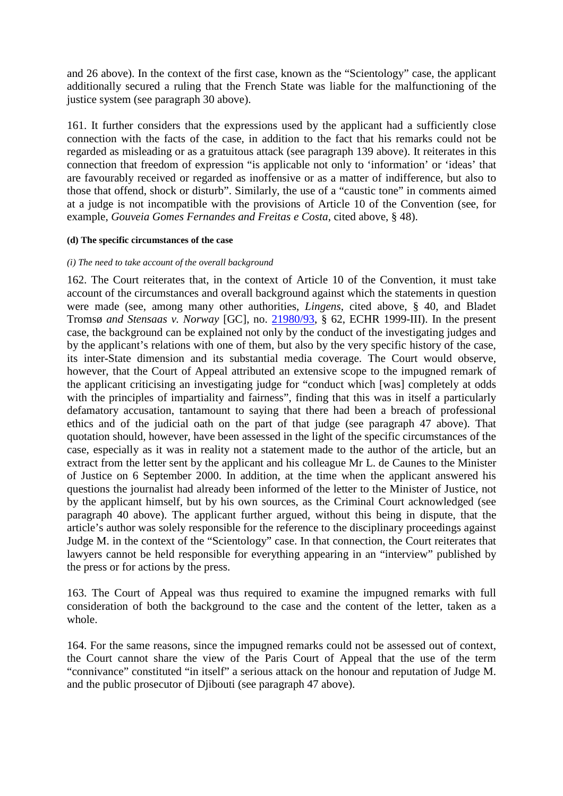and 26 above). In the context of the first case, known as the "Scientology" case, the applicant additionally secured a ruling that the French State was liable for the malfunctioning of the justice system (see paragraph 30 above).

161. It further considers that the expressions used by the applicant had a sufficiently close connection with the facts of the case, in addition to the fact that his remarks could not be regarded as misleading or as a gratuitous attack (see paragraph 139 above). It reiterates in this connection that freedom of expression "is applicable not only to 'information' or 'ideas' that are favourably received or regarded as inoffensive or as a matter of indifference, but also to those that offend, shock or disturb". Similarly, the use of a "caustic tone" in comments aimed at a judge is not incompatible with the provisions of Article 10 of the Convention (see, for example, *Gouveia Gomes Fernandes and Freitas e Costa*, cited above, § 48).

#### **(d) The specific circumstances of the case**

#### *(i) The need to take account of the overall background*

162. The Court reiterates that, in the context of Article 10 of the Convention, it must take account of the circumstances and overall background against which the statements in question were made (see, among many other authorities, *Lingens*, cited above, § 40, and Bladet Tromsø *and Stensaas v. Norway* [GC], no. 21980/93, § 62, ECHR 1999-III). In the present case, the background can be explained not only by the conduct of the investigating judges and by the applicant's relations with one of them, but also by the very specific history of the case, its inter-State dimension and its substantial media coverage. The Court would observe, however, that the Court of Appeal attributed an extensive scope to the impugned remark of the applicant criticising an investigating judge for "conduct which [was] completely at odds with the principles of impartiality and fairness", finding that this was in itself a particularly defamatory accusation, tantamount to saying that there had been a breach of professional ethics and of the judicial oath on the part of that judge (see paragraph 47 above). That quotation should, however, have been assessed in the light of the specific circumstances of the case, especially as it was in reality not a statement made to the author of the article, but an extract from the letter sent by the applicant and his colleague Mr L. de Caunes to the Minister of Justice on 6 September 2000. In addition, at the time when the applicant answered his questions the journalist had already been informed of the letter to the Minister of Justice, not by the applicant himself, but by his own sources, as the Criminal Court acknowledged (see paragraph 40 above). The applicant further argued, without this being in dispute, that the article's author was solely responsible for the reference to the disciplinary proceedings against Judge M. in the context of the "Scientology" case. In that connection, the Court reiterates that lawyers cannot be held responsible for everything appearing in an "interview" published by the press or for actions by the press.

163. The Court of Appeal was thus required to examine the impugned remarks with full consideration of both the background to the case and the content of the letter, taken as a whole.

164. For the same reasons, since the impugned remarks could not be assessed out of context, the Court cannot share the view of the Paris Court of Appeal that the use of the term "connivance" constituted "in itself" a serious attack on the honour and reputation of Judge M. and the public prosecutor of Djibouti (see paragraph 47 above).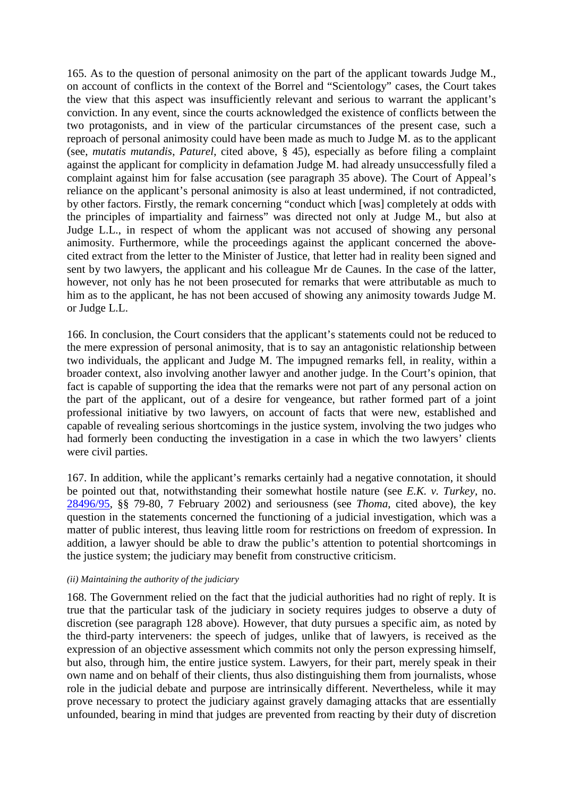165. As to the question of personal animosity on the part of the applicant towards Judge M., on account of conflicts in the context of the Borrel and "Scientology" cases, the Court takes the view that this aspect was insufficiently relevant and serious to warrant the applicant's conviction. In any event, since the courts acknowledged the existence of conflicts between the two protagonists, and in view of the particular circumstances of the present case, such a reproach of personal animosity could have been made as much to Judge M. as to the applicant (see, *mutatis mutandis*, *Paturel*, cited above, § 45), especially as before filing a complaint against the applicant for complicity in defamation Judge M. had already unsuccessfully filed a complaint against him for false accusation (see paragraph 35 above). The Court of Appeal's reliance on the applicant's personal animosity is also at least undermined, if not contradicted, by other factors. Firstly, the remark concerning "conduct which [was] completely at odds with the principles of impartiality and fairness" was directed not only at Judge M., but also at Judge L.L., in respect of whom the applicant was not accused of showing any personal animosity. Furthermore, while the proceedings against the applicant concerned the abovecited extract from the letter to the Minister of Justice, that letter had in reality been signed and sent by two lawyers, the applicant and his colleague Mr de Caunes. In the case of the latter, however, not only has he not been prosecuted for remarks that were attributable as much to him as to the applicant, he has not been accused of showing any animosity towards Judge M. or Judge L.L.

166. In conclusion, the Court considers that the applicant's statements could not be reduced to the mere expression of personal animosity, that is to say an antagonistic relationship between two individuals, the applicant and Judge M. The impugned remarks fell, in reality, within a broader context, also involving another lawyer and another judge. In the Court's opinion, that fact is capable of supporting the idea that the remarks were not part of any personal action on the part of the applicant, out of a desire for vengeance, but rather formed part of a joint professional initiative by two lawyers, on account of facts that were new, established and capable of revealing serious shortcomings in the justice system, involving the two judges who had formerly been conducting the investigation in a case in which the two lawyers' clients were civil parties.

167. In addition, while the applicant's remarks certainly had a negative connotation, it should be pointed out that, notwithstanding their somewhat hostile nature (see *E.K. v. Turkey*, no. 28496/95, §§ 79-80, 7 February 2002) and seriousness (see *Thoma*, cited above), the key question in the statements concerned the functioning of a judicial investigation, which was a matter of public interest, thus leaving little room for restrictions on freedom of expression. In addition, a lawyer should be able to draw the public's attention to potential shortcomings in the justice system; the judiciary may benefit from constructive criticism.

#### *(ii) Maintaining the authority of the judiciary*

168. The Government relied on the fact that the judicial authorities had no right of reply. It is true that the particular task of the judiciary in society requires judges to observe a duty of discretion (see paragraph 128 above). However, that duty pursues a specific aim, as noted by the third-party interveners: the speech of judges, unlike that of lawyers, is received as the expression of an objective assessment which commits not only the person expressing himself, but also, through him, the entire justice system. Lawyers, for their part, merely speak in their own name and on behalf of their clients, thus also distinguishing them from journalists, whose role in the judicial debate and purpose are intrinsically different. Nevertheless, while it may prove necessary to protect the judiciary against gravely damaging attacks that are essentially unfounded, bearing in mind that judges are prevented from reacting by their duty of discretion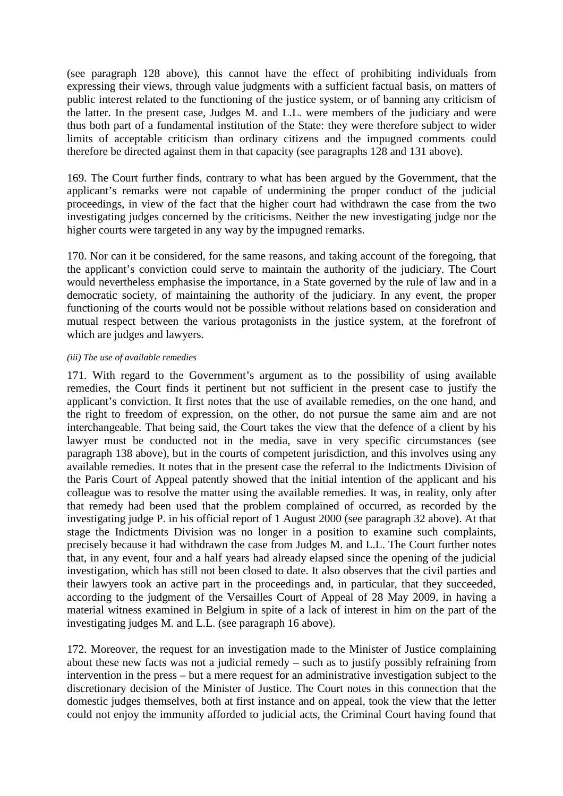(see paragraph 128 above), this cannot have the effect of prohibiting individuals from expressing their views, through value judgments with a sufficient factual basis, on matters of public interest related to the functioning of the justice system, or of banning any criticism of the latter. In the present case, Judges M. and L.L. were members of the judiciary and were thus both part of a fundamental institution of the State: they were therefore subject to wider limits of acceptable criticism than ordinary citizens and the impugned comments could therefore be directed against them in that capacity (see paragraphs 128 and 131 above).

169. The Court further finds, contrary to what has been argued by the Government, that the applicant's remarks were not capable of undermining the proper conduct of the judicial proceedings, in view of the fact that the higher court had withdrawn the case from the two investigating judges concerned by the criticisms. Neither the new investigating judge nor the higher courts were targeted in any way by the impugned remarks.

170. Nor can it be considered, for the same reasons, and taking account of the foregoing, that the applicant's conviction could serve to maintain the authority of the judiciary. The Court would nevertheless emphasise the importance, in a State governed by the rule of law and in a democratic society, of maintaining the authority of the judiciary. In any event, the proper functioning of the courts would not be possible without relations based on consideration and mutual respect between the various protagonists in the justice system, at the forefront of which are judges and lawyers.

#### *(iii) The use of available remedies*

171. With regard to the Government's argument as to the possibility of using available remedies, the Court finds it pertinent but not sufficient in the present case to justify the applicant's conviction. It first notes that the use of available remedies, on the one hand, and the right to freedom of expression, on the other, do not pursue the same aim and are not interchangeable. That being said, the Court takes the view that the defence of a client by his lawyer must be conducted not in the media, save in very specific circumstances (see paragraph 138 above), but in the courts of competent jurisdiction, and this involves using any available remedies. It notes that in the present case the referral to the Indictments Division of the Paris Court of Appeal patently showed that the initial intention of the applicant and his colleague was to resolve the matter using the available remedies. It was, in reality, only after that remedy had been used that the problem complained of occurred, as recorded by the investigating judge P. in his official report of 1 August 2000 (see paragraph 32 above). At that stage the Indictments Division was no longer in a position to examine such complaints, precisely because it had withdrawn the case from Judges M. and L.L. The Court further notes that, in any event, four and a half years had already elapsed since the opening of the judicial investigation, which has still not been closed to date. It also observes that the civil parties and their lawyers took an active part in the proceedings and, in particular, that they succeeded, according to the judgment of the Versailles Court of Appeal of 28 May 2009, in having a material witness examined in Belgium in spite of a lack of interest in him on the part of the investigating judges M. and L.L. (see paragraph 16 above).

172. Moreover, the request for an investigation made to the Minister of Justice complaining about these new facts was not a judicial remedy – such as to justify possibly refraining from intervention in the press – but a mere request for an administrative investigation subject to the discretionary decision of the Minister of Justice. The Court notes in this connection that the domestic judges themselves, both at first instance and on appeal, took the view that the letter could not enjoy the immunity afforded to judicial acts, the Criminal Court having found that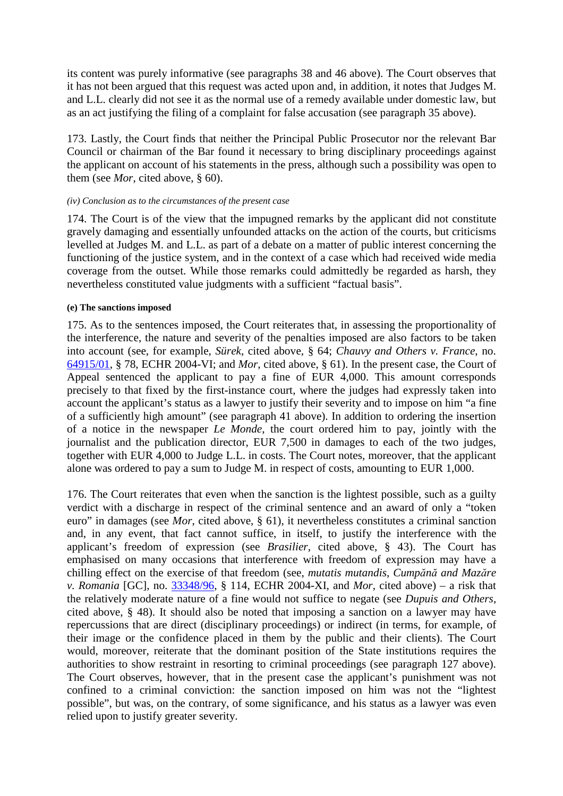its content was purely informative (see paragraphs 38 and 46 above). The Court observes that it has not been argued that this request was acted upon and, in addition, it notes that Judges M. and L.L. clearly did not see it as the normal use of a remedy available under domestic law, but as an act justifying the filing of a complaint for false accusation (see paragraph 35 above).

173. Lastly, the Court finds that neither the Principal Public Prosecutor nor the relevant Bar Council or chairman of the Bar found it necessary to bring disciplinary proceedings against the applicant on account of his statements in the press, although such a possibility was open to them (see *Mor*, cited above, § 60).

#### *(iv) Conclusion as to the circumstances of the present case*

174. The Court is of the view that the impugned remarks by the applicant did not constitute gravely damaging and essentially unfounded attacks on the action of the courts, but criticisms levelled at Judges M. and L.L. as part of a debate on a matter of public interest concerning the functioning of the justice system, and in the context of a case which had received wide media coverage from the outset. While those remarks could admittedly be regarded as harsh, they nevertheless constituted value judgments with a sufficient "factual basis".

#### **(e) The sanctions imposed**

175. As to the sentences imposed, the Court reiterates that, in assessing the proportionality of the interference, the nature and severity of the penalties imposed are also factors to be taken into account (see, for example, *Sürek*, cited above, § 64; *Chauvy and Others v. France*, no. 64915/01, § 78, ECHR 2004-VI; and *Mor*, cited above, § 61). In the present case, the Court of Appeal sentenced the applicant to pay a fine of EUR 4,000. This amount corresponds precisely to that fixed by the first-instance court, where the judges had expressly taken into account the applicant's status as a lawyer to justify their severity and to impose on him "a fine of a sufficiently high amount" (see paragraph 41 above). In addition to ordering the insertion of a notice in the newspaper *Le Monde*, the court ordered him to pay, jointly with the journalist and the publication director, EUR 7,500 in damages to each of the two judges, together with EUR 4,000 to Judge L.L. in costs. The Court notes, moreover, that the applicant alone was ordered to pay a sum to Judge M. in respect of costs, amounting to EUR 1,000.

176. The Court reiterates that even when the sanction is the lightest possible, such as a guilty verdict with a discharge in respect of the criminal sentence and an award of only a "token euro" in damages (see *Mor*, cited above, § 61), it nevertheless constitutes a criminal sanction and, in any event, that fact cannot suffice, in itself, to justify the interference with the applicant's freedom of expression (see *Brasilier*, cited above, § 43). The Court has emphasised on many occasions that interference with freedom of expression may have a chilling effect on the exercise of that freedom (see, *mutatis mutandis*, *Cumpănă and Mazăre v. Romania* [GC], no. 33348/96, § 114, ECHR 2004-XI, and *Mor*, cited above) – a risk that the relatively moderate nature of a fine would not suffice to negate (see *Dupuis and Others*, cited above, § 48). It should also be noted that imposing a sanction on a lawyer may have repercussions that are direct (disciplinary proceedings) or indirect (in terms, for example, of their image or the confidence placed in them by the public and their clients). The Court would, moreover, reiterate that the dominant position of the State institutions requires the authorities to show restraint in resorting to criminal proceedings (see paragraph 127 above). The Court observes, however, that in the present case the applicant's punishment was not confined to a criminal conviction: the sanction imposed on him was not the "lightest possible", but was, on the contrary, of some significance, and his status as a lawyer was even relied upon to justify greater severity.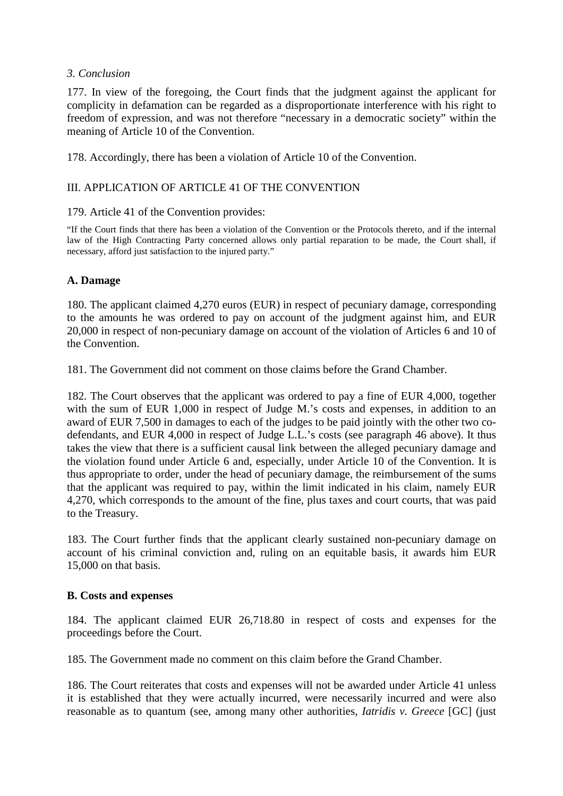### *3. Conclusion*

177. In view of the foregoing, the Court finds that the judgment against the applicant for complicity in defamation can be regarded as a disproportionate interference with his right to freedom of expression, and was not therefore "necessary in a democratic society" within the meaning of Article 10 of the Convention.

178. Accordingly, there has been a violation of Article 10 of the Convention.

## III. APPLICATION OF ARTICLE 41 OF THE CONVENTION

### 179. Article 41 of the Convention provides:

"If the Court finds that there has been a violation of the Convention or the Protocols thereto, and if the internal law of the High Contracting Party concerned allows only partial reparation to be made, the Court shall, if necessary, afford just satisfaction to the injured party."

## **A. Damage**

180. The applicant claimed 4,270 euros (EUR) in respect of pecuniary damage, corresponding to the amounts he was ordered to pay on account of the judgment against him, and EUR 20,000 in respect of non-pecuniary damage on account of the violation of Articles 6 and 10 of the Convention.

181. The Government did not comment on those claims before the Grand Chamber.

182. The Court observes that the applicant was ordered to pay a fine of EUR 4,000, together with the sum of EUR 1,000 in respect of Judge M.'s costs and expenses, in addition to an award of EUR 7,500 in damages to each of the judges to be paid jointly with the other two codefendants, and EUR 4,000 in respect of Judge L.L.'s costs (see paragraph 46 above). It thus takes the view that there is a sufficient causal link between the alleged pecuniary damage and the violation found under Article 6 and, especially, under Article 10 of the Convention. It is thus appropriate to order, under the head of pecuniary damage, the reimbursement of the sums that the applicant was required to pay, within the limit indicated in his claim, namely EUR 4,270, which corresponds to the amount of the fine, plus taxes and court courts, that was paid to the Treasury.

183. The Court further finds that the applicant clearly sustained non-pecuniary damage on account of his criminal conviction and, ruling on an equitable basis, it awards him EUR 15,000 on that basis.

## **B. Costs and expenses**

184. The applicant claimed EUR 26,718.80 in respect of costs and expenses for the proceedings before the Court.

185. The Government made no comment on this claim before the Grand Chamber.

186. The Court reiterates that costs and expenses will not be awarded under Article 41 unless it is established that they were actually incurred, were necessarily incurred and were also reasonable as to quantum (see, among many other authorities, *Iatridis v. Greece* [GC] (just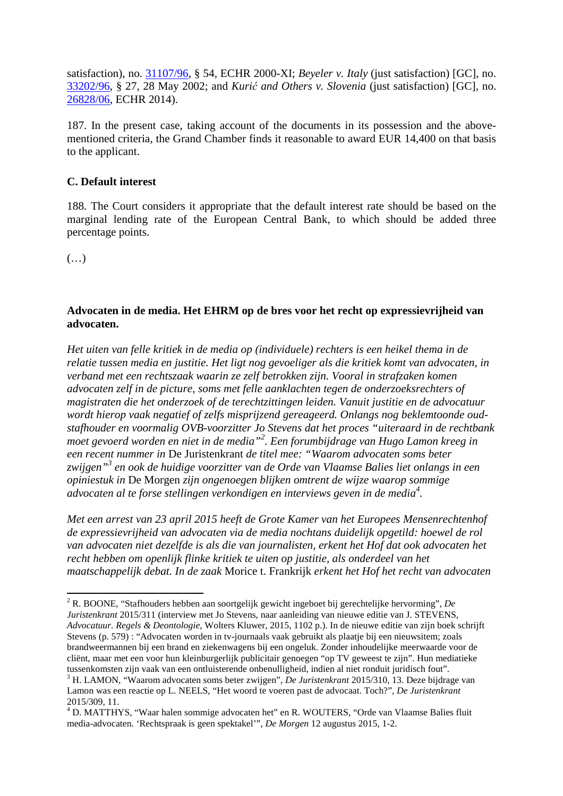satisfaction), no. 31107/96, § 54, ECHR 2000-XI; *Beyeler v. Italy* (just satisfaction) [GC], no. 33202/96, § 27, 28 May 2002; and *Kurić and Others v. Slovenia* (just satisfaction) [GC], no. 26828/06, ECHR 2014).

187. In the present case, taking account of the documents in its possession and the abovementioned criteria, the Grand Chamber finds it reasonable to award EUR 14,400 on that basis to the applicant.

## **C. Default interest**

188. The Court considers it appropriate that the default interest rate should be based on the marginal lending rate of the European Central Bank, to which should be added three percentage points.

 $(\ldots)$ 

 $\overline{a}$ 

## **Advocaten in de media. Het EHRM op de bres voor het recht op expressievrijheid van advocaten.**

*Het uiten van felle kritiek in de media op (individuele) rechters is een heikel thema in de relatie tussen media en justitie. Het ligt nog gevoeliger als die kritiek komt van advocaten, in verband met een rechtszaak waarin ze zelf betrokken zijn. Vooral in strafzaken komen advocaten zelf in de picture, soms met felle aanklachten tegen de onderzoeksrechters of magistraten die het onderzoek of de terechtzittingen leiden. Vanuit justitie en de advocatuur wordt hierop vaak negatief of zelfs misprijzend gereageerd. Onlangs nog beklemtoonde oudstafhouder en voormalig OVB-voorzitter Jo Stevens dat het proces "uiteraard in de rechtbank moet gevoerd worden en niet in de media"<sup>2</sup> . Een forumbijdrage van Hugo Lamon kreeg in een recent nummer in* De Juristenkrant *de titel mee: "Waarom advocaten soms beter zwijgen"<sup>3</sup> en ook de huidige voorzitter van de Orde van Vlaamse Balies liet onlangs in een opiniestuk in* De Morgen *zijn ongenoegen blijken omtrent de wijze waarop sommige advocaten al te forse stellingen verkondigen en interviews geven in de media<sup>4</sup> .* 

*Met een arrest van 23 april 2015 heeft de Grote Kamer van het Europees Mensenrechtenhof de expressievrijheid van advocaten via de media nochtans duidelijk opgetild: hoewel de rol van advocaten niet dezelfde is als die van journalisten, erkent het Hof dat ook advocaten het recht hebben om openlijk flinke kritiek te uiten op justitie, als onderdeel van het maatschappelijk debat. In de zaak* Morice t. Frankrijk *erkent het Hof het recht van advocaten* 

<sup>2</sup> R. BOONE, "Stafhouders hebben aan soortgelijk gewicht ingeboet bij gerechtelijke hervorming", *De Juristenkrant* 2015/311 (interview met Jo Stevens, naar aanleiding van nieuwe editie van J. STEVENS, *Advocatuur. Regels & Deontologie*, Wolters Kluwer, 2015, 1102 p.). In de nieuwe editie van zijn boek schrijft Stevens (p. 579) : "Advocaten worden in tv-journaals vaak gebruikt als plaatje bij een nieuwsitem; zoals brandweermannen bij een brand en ziekenwagens bij een ongeluk. Zonder inhoudelijke meerwaarde voor de cliënt, maar met een voor hun kleinburgerlijk publicitair genoegen "op TV geweest te zijn". Hun mediatieke tussenkomsten zijn vaak van een ontluisterende onbenulligheid, indien al niet ronduit juridisch fout".

<sup>3</sup> H. LAMON, "Waarom advocaten soms beter zwijgen", *De Juristenkrant* 2015/310, 13. Deze bijdrage van Lamon was een reactie op L. NEELS, "Het woord te voeren past de advocaat. Toch?", *De Juristenkrant* 2015/309, 11.

<sup>&</sup>lt;sup>4</sup> D. MATTHYS, "Waar halen sommige advocaten het" en R. WOUTERS, "Orde van Vlaamse Balies fluit media-advocaten. 'Rechtspraak is geen spektakel'", *De Morgen* 12 augustus 2015, 1-2.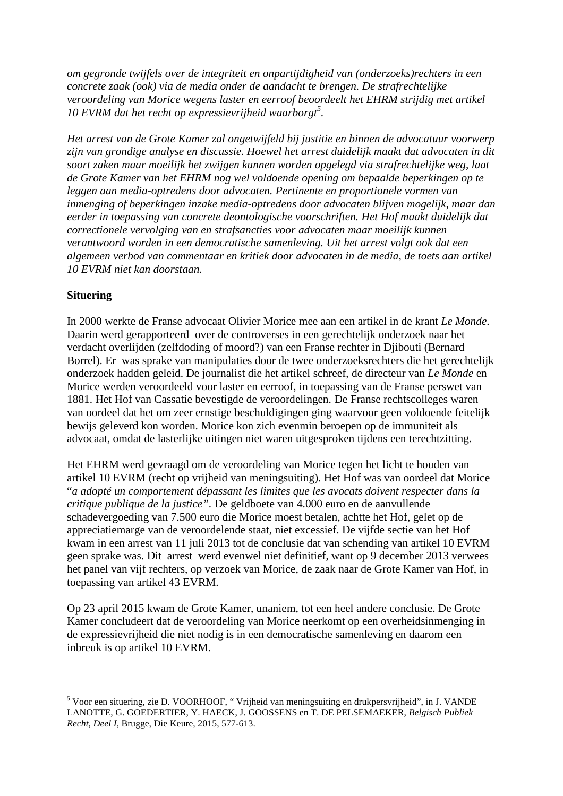*om gegronde twijfels over de integriteit en onpartijdigheid van (onderzoeks)rechters in een concrete zaak (ook) via de media onder de aandacht te brengen. De strafrechtelijke veroordeling van Morice wegens laster en eerroof beoordeelt het EHRM strijdig met artikel 10 EVRM dat het recht op expressievrijheid waarborgt 5 .* 

*Het arrest van de Grote Kamer zal ongetwijfeld bij justitie en binnen de advocatuur voorwerp zijn van grondige analyse en discussie. Hoewel het arrest duidelijk maakt dat advocaten in dit soort zaken maar moeilijk het zwijgen kunnen worden opgelegd via strafrechtelijke weg, laat de Grote Kamer van het EHRM nog wel voldoende opening om bepaalde beperkingen op te leggen aan media-optredens door advocaten. Pertinente en proportionele vormen van inmenging of beperkingen inzake media-optredens door advocaten blijven mogelijk, maar dan eerder in toepassing van concrete deontologische voorschriften. Het Hof maakt duidelijk dat correctionele vervolging van en strafsancties voor advocaten maar moeilijk kunnen verantwoord worden in een democratische samenleving. Uit het arrest volgt ook dat een algemeen verbod van commentaar en kritiek door advocaten in de media, de toets aan artikel 10 EVRM niet kan doorstaan.* 

# **Situering**

l

In 2000 werkte de Franse advocaat Olivier Morice mee aan een artikel in de krant *Le Monde*. Daarin werd gerapporteerd over de controverses in een gerechtelijk onderzoek naar het verdacht overlijden (zelfdoding of moord?) van een Franse rechter in Djibouti (Bernard Borrel). Er was sprake van manipulaties door de twee onderzoeksrechters die het gerechtelijk onderzoek hadden geleid. De journalist die het artikel schreef, de directeur van *Le Monde* en Morice werden veroordeeld voor laster en eerroof, in toepassing van de Franse perswet van 1881. Het Hof van Cassatie bevestigde de veroordelingen. De Franse rechtscolleges waren van oordeel dat het om zeer ernstige beschuldigingen ging waarvoor geen voldoende feitelijk bewijs geleverd kon worden. Morice kon zich evenmin beroepen op de immuniteit als advocaat, omdat de lasterlijke uitingen niet waren uitgesproken tijdens een terechtzitting.

Het EHRM werd gevraagd om de veroordeling van Morice tegen het licht te houden van artikel 10 EVRM (recht op vrijheid van meningsuiting). Het Hof was van oordeel dat Morice "*a adopté un comportement dépassant les limites que les avocats doivent respecter dans la critique publique de la justice".* De geldboete van 4.000 euro en de aanvullende schadevergoeding van 7.500 euro die Morice moest betalen, achtte het Hof, gelet op de appreciatiemarge van de veroordelende staat, niet excessief. De vijfde sectie van het Hof kwam in een arrest van 11 juli 2013 tot de conclusie dat van schending van artikel 10 EVRM geen sprake was. Dit arrest werd evenwel niet definitief, want op 9 december 2013 verwees het panel van vijf rechters, op verzoek van Morice, de zaak naar de Grote Kamer van Hof, in toepassing van artikel 43 EVRM.

Op 23 april 2015 kwam de Grote Kamer, unaniem, tot een heel andere conclusie. De Grote Kamer concludeert dat de veroordeling van Morice neerkomt op een overheidsinmenging in de expressievrijheid die niet nodig is in een democratische samenleving en daarom een inbreuk is op artikel 10 EVRM.

<sup>&</sup>lt;sup>5</sup> Voor een situering, zie D. VOORHOOF, "Vrijheid van meningsuiting en drukpersvrijheid", in J. VANDE LANOTTE, G. GOEDERTIER, Y. HAECK, J. GOOSSENS en T. DE PELSEMAEKER, *Belgisch Publiek Recht, Deel I,* Brugge, Die Keure, 2015, 577-613.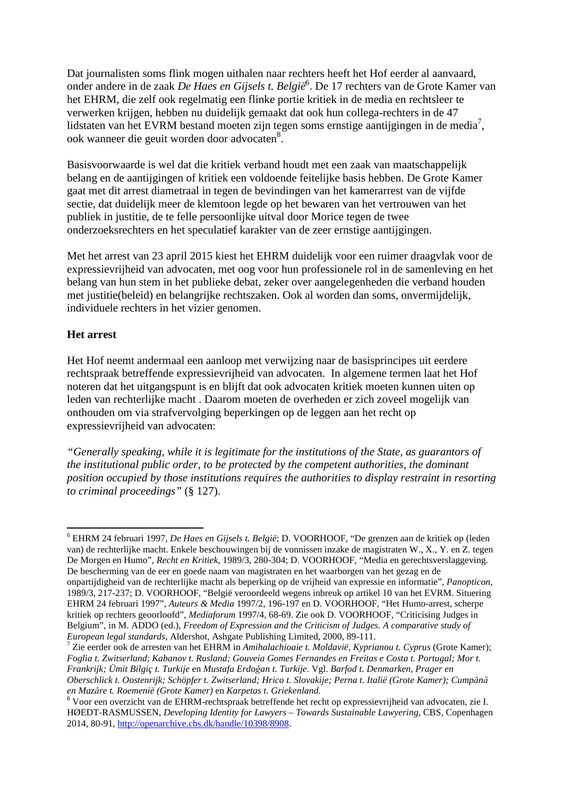Dat journalisten soms flink mogen uithalen naar rechters heeft het Hof eerder al aanvaard, onder andere in de zaak *De Haes en Gijsels t. België*<sup>6</sup> . De 17 rechters van de Grote Kamer van het EHRM, die zelf ook regelmatig een flinke portie kritiek in de media en rechtsleer te verwerken krijgen, hebben nu duidelijk gemaakt dat ook hun collega-rechters in de 47 lidstaten van het EVRM bestand moeten zijn tegen soms ernstige aantijgingen in de media<sup>7</sup>, ook wanneer die geuit worden door advocaten<sup>8</sup>.

Basisvoorwaarde is wel dat die kritiek verband houdt met een zaak van maatschappelijk belang en de aantijgingen of kritiek een voldoende feitelijke basis hebben. De Grote Kamer gaat met dit arrest diametraal in tegen de bevindingen van het kamerarrest van de vijfde sectie, dat duidelijk meer de klemtoon legde op het bewaren van het vertrouwen van het publiek in justitie, de te felle persoonlijke uitval door Morice tegen de twee onderzoeksrechters en het speculatief karakter van de zeer ernstige aantijgingen.

Met het arrest van 23 april 2015 kiest het EHRM duidelijk voor een ruimer draagvlak voor de expressievrijheid van advocaten, met oog voor hun professionele rol in de samenleving en het belang van hun stem in het publieke debat, zeker over aangelegenheden die verband houden met justitie(beleid) en belangrijke rechtszaken. Ook al worden dan soms, onvermijdelijk, individuele rechters in het vizier genomen.

### **Het arrest**

 $\overline{a}$ 

Het Hof neemt andermaal een aanloop met verwijzing naar de basisprincipes uit eerdere rechtspraak betreffende expressievrijheid van advocaten. In algemene termen laat het Hof noteren dat het uitgangspunt is en blijft dat ook advocaten kritiek moeten kunnen uiten op leden van rechterlijke macht . Daarom moeten de overheden er zich zoveel mogelijk van onthouden om via strafvervolging beperkingen op de leggen aan het recht op expressievrijheid van advocaten:

*"Generally speaking, while it is legitimate for the institutions of the State, as guarantors of the institutional public order, to be protected by the competent authorities, the dominant position occupied by those institutions requires the authorities to display restraint in resorting to criminal proceedings"* (§ 127).

<sup>6</sup> EHRM 24 februari 1997, *De Haes en Gijsels t. België*; D. VOORHOOF, "De grenzen aan de kritiek op (leden van) de rechterlijke macht. Enkele beschouwingen bij de vonnissen inzake de magistraten W., X., Y. en Z. tegen De Morgen en Humo", *Recht en Kritiek*, 1989/3, 280-304; D. VOORHOOF, "Media en gerechtsverslaggeving. De bescherming van de eer en goede naam van magistraten en het waarborgen van het gezag en de onpartijdigheid van de rechterlijke macht als beperking op de vrijheid van expressie en informatie", *Panopticon*, 1989/3, 217-237; D. VOORHOOF, "België veroordeeld wegens inbreuk op artikel 10 van het EVRM. Situering EHRM 24 februari 1997", *Auteurs & Media* 1997/2, 196-197 en D. VOORHOOF, "Het Humo-arrest, scherpe kritiek op rechters geoorloofd", *Mediaforum* 1997/4, 68-69. Zie ook D. VOORHOOF, "Criticising Judges in Belgium", in M. ADDO (ed.), *Freedom of Expression and the Criticism of Judges. A comparative study of European legal standards*, Aldershot, Ashgate Publishing Limited, 2000, 89-111.

<sup>7</sup> Zie eerder ook de arresten van het EHRM in *Amihalachioaie t. Moldavië, Kyprianou t. Cyprus* (Grote Kamer); *Foglia t. Zwitserland*; *Kabanov t. Rusland; Gouveia Gomes Fernandes en Freitas e Costa t. Portugal; Mor t. Frankrijk; Ümit Bilgiç t. Turkije* en *Mustafa Erdoğan t. Turkije.* Vgl. *Barfod t. Denmarken, Prager en Oberschlick t. Oostenrijk; Schöpfer t. Zwitserland; Hrico t. Slovakije; Perna t. Italië (Grote Kamer); Cumpănă en Mazăre t. Roemenië (Grote Kamer)* en *Karpetas t. Griekenland.* 

<sup>8</sup> Voor een overzicht van de EHRM-rechtspraak betreffende het recht op expressievrijheid van advocaten, zie I. HØEDT-RASMUSSEN, *Developing Identity for Lawyers - Towards Sustainable Lawyering*, CBS, Copenhagen 2014, 80-91*,* http://openarchive.cbs.dk/handle/10398/8908.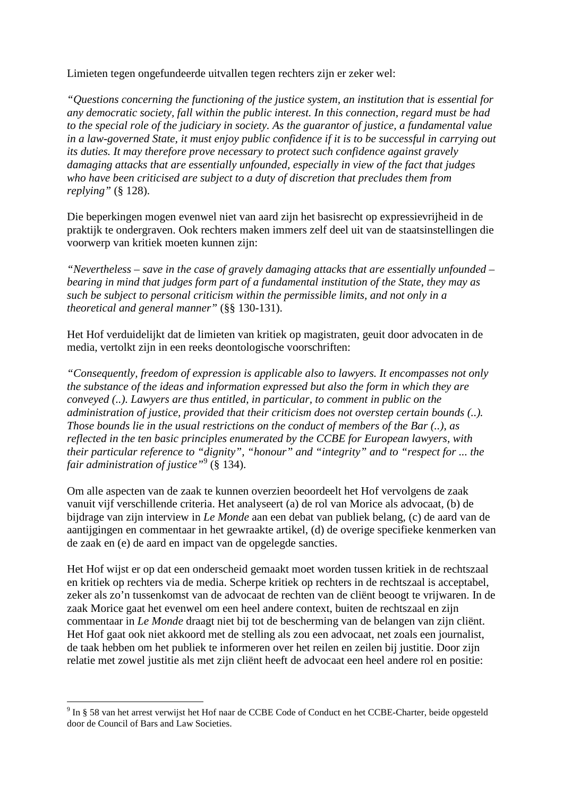Limieten tegen ongefundeerde uitvallen tegen rechters zijn er zeker wel:

*"Questions concerning the functioning of the justice system, an institution that is essential for any democratic society, fall within the public interest. In this connection, regard must be had to the special role of the judiciary in society. As the guarantor of justice, a fundamental value in a law-governed State, it must enjoy public confidence if it is to be successful in carrying out its duties. It may therefore prove necessary to protect such confidence against gravely damaging attacks that are essentially unfounded, especially in view of the fact that judges who have been criticised are subject to a duty of discretion that precludes them from replying"* (§ 128).

Die beperkingen mogen evenwel niet van aard zijn het basisrecht op expressievrijheid in de praktijk te ondergraven. Ook rechters maken immers zelf deel uit van de staatsinstellingen die voorwerp van kritiek moeten kunnen zijn:

*"Nevertheless – save in the case of gravely damaging attacks that are essentially unfounded – bearing in mind that judges form part of a fundamental institution of the State, they may as such be subject to personal criticism within the permissible limits, and not only in a theoretical and general manner"* (§§ 130-131).

Het Hof verduidelijkt dat de limieten van kritiek op magistraten, geuit door advocaten in de media, vertolkt zijn in een reeks deontologische voorschriften:

*"Consequently, freedom of expression is applicable also to lawyers. It encompasses not only the substance of the ideas and information expressed but also the form in which they are conveyed (..). Lawyers are thus entitled, in particular, to comment in public on the administration of justice, provided that their criticism does not overstep certain bounds (..). Those bounds lie in the usual restrictions on the conduct of members of the Bar (..), as reflected in the ten basic principles enumerated by the CCBE for European lawyers, with their particular reference to "dignity", "honour" and "integrity" and to "respect for ... the fair administration of justice"*<sup>9</sup> (§ 134).

Om alle aspecten van de zaak te kunnen overzien beoordeelt het Hof vervolgens de zaak vanuit vijf verschillende criteria. Het analyseert (a) de rol van Morice als advocaat, (b) de bijdrage van zijn interview in *Le Monde* aan een debat van publiek belang, (c) de aard van de aantijgingen en commentaar in het gewraakte artikel, (d) de overige specifieke kenmerken van de zaak en (e) de aard en impact van de opgelegde sancties.

Het Hof wijst er op dat een onderscheid gemaakt moet worden tussen kritiek in de rechtszaal en kritiek op rechters via de media. Scherpe kritiek op rechters in de rechtszaal is acceptabel, zeker als zo'n tussenkomst van de advocaat de rechten van de cliënt beoogt te vrijwaren. In de zaak Morice gaat het evenwel om een heel andere context, buiten de rechtszaal en zijn commentaar in *Le Monde* draagt niet bij tot de bescherming van de belangen van zijn cliënt. Het Hof gaat ook niet akkoord met de stelling als zou een advocaat, net zoals een journalist, de taak hebben om het publiek te informeren over het reilen en zeilen bij justitie. Door zijn relatie met zowel justitie als met zijn cliënt heeft de advocaat een heel andere rol en positie:

l

<sup>&</sup>lt;sup>9</sup> In § 58 van het arrest verwijst het Hof naar de CCBE Code of Conduct en het CCBE-Charter, beide opgesteld door de Council of Bars and Law Societies.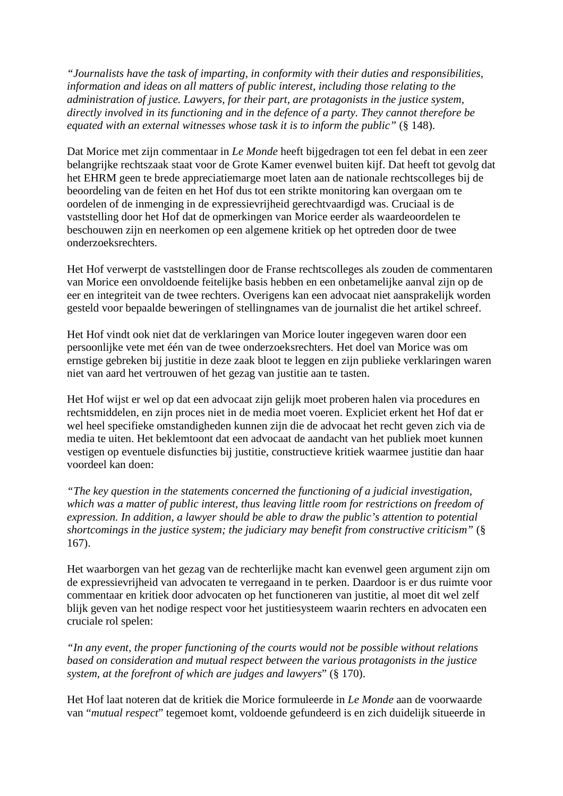*"Journalists have the task of imparting, in conformity with their duties and responsibilities, information and ideas on all matters of public interest, including those relating to the administration of justice. Lawyers, for their part, are protagonists in the justice system, directly involved in its functioning and in the defence of a party. They cannot therefore be equated with an external witnesses whose task it is to inform the public"* (§ 148).

Dat Morice met zijn commentaar in *Le Monde* heeft bijgedragen tot een fel debat in een zeer belangrijke rechtszaak staat voor de Grote Kamer evenwel buiten kijf. Dat heeft tot gevolg dat het EHRM geen te brede appreciatiemarge moet laten aan de nationale rechtscolleges bij de beoordeling van de feiten en het Hof dus tot een strikte monitoring kan overgaan om te oordelen of de inmenging in de expressievrijheid gerechtvaardigd was. Cruciaal is de vaststelling door het Hof dat de opmerkingen van Morice eerder als waardeoordelen te beschouwen zijn en neerkomen op een algemene kritiek op het optreden door de twee onderzoeksrechters.

Het Hof verwerpt de vaststellingen door de Franse rechtscolleges als zouden de commentaren van Morice een onvoldoende feitelijke basis hebben en een onbetamelijke aanval zijn op de eer en integriteit van de twee rechters. Overigens kan een advocaat niet aansprakelijk worden gesteld voor bepaalde beweringen of stellingnames van de journalist die het artikel schreef.

Het Hof vindt ook niet dat de verklaringen van Morice louter ingegeven waren door een persoonlijke vete met één van de twee onderzoeksrechters. Het doel van Morice was om ernstige gebreken bij justitie in deze zaak bloot te leggen en zijn publieke verklaringen waren niet van aard het vertrouwen of het gezag van justitie aan te tasten.

Het Hof wijst er wel op dat een advocaat zijn gelijk moet proberen halen via procedures en rechtsmiddelen, en zijn proces niet in de media moet voeren. Expliciet erkent het Hof dat er wel heel specifieke omstandigheden kunnen zijn die de advocaat het recht geven zich via de media te uiten. Het beklemtoont dat een advocaat de aandacht van het publiek moet kunnen vestigen op eventuele disfuncties bij justitie, constructieve kritiek waarmee justitie dan haar voordeel kan doen:

*"The key question in the statements concerned the functioning of a judicial investigation, which was a matter of public interest, thus leaving little room for restrictions on freedom of expression. In addition, a lawyer should be able to draw the public's attention to potential shortcomings in the justice system; the judiciary may benefit from constructive criticism"* (§ 167).

Het waarborgen van het gezag van de rechterlijke macht kan evenwel geen argument zijn om de expressievrijheid van advocaten te verregaand in te perken. Daardoor is er dus ruimte voor commentaar en kritiek door advocaten op het functioneren van justitie, al moet dit wel zelf blijk geven van het nodige respect voor het justitiesysteem waarin rechters en advocaten een cruciale rol spelen:

*"In any event, the proper functioning of the courts would not be possible without relations based on consideration and mutual respect between the various protagonists in the justice system, at the forefront of which are judges and lawyers*" (§ 170).

Het Hof laat noteren dat de kritiek die Morice formuleerde in *Le Monde* aan de voorwaarde van "*mutual respect*" tegemoet komt, voldoende gefundeerd is en zich duidelijk situeerde in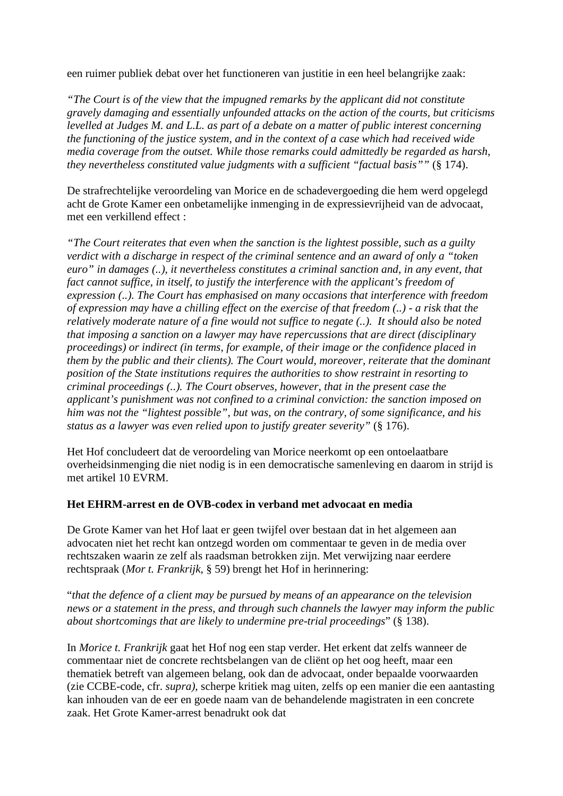een ruimer publiek debat over het functioneren van justitie in een heel belangrijke zaak:

*"The Court is of the view that the impugned remarks by the applicant did not constitute gravely damaging and essentially unfounded attacks on the action of the courts, but criticisms levelled at Judges M. and L.L. as part of a debate on a matter of public interest concerning the functioning of the justice system, and in the context of a case which had received wide media coverage from the outset. While those remarks could admittedly be regarded as harsh, they nevertheless constituted value judgments with a sufficient "factual basis""* (§ 174).

De strafrechtelijke veroordeling van Morice en de schadevergoeding die hem werd opgelegd acht de Grote Kamer een onbetamelijke inmenging in de expressievrijheid van de advocaat, met een verkillend effect :

*"The Court reiterates that even when the sanction is the lightest possible, such as a guilty verdict with a discharge in respect of the criminal sentence and an award of only a "token euro" in damages (..), it nevertheless constitutes a criminal sanction and, in any event, that fact cannot suffice, in itself, to justify the interference with the applicant's freedom of expression (..). The Court has emphasised on many occasions that interference with freedom of expression may have a chilling effect on the exercise of that freedom (..) - a risk that the relatively moderate nature of a fine would not suffice to negate (..). It should also be noted that imposing a sanction on a lawyer may have repercussions that are direct (disciplinary proceedings) or indirect (in terms, for example, of their image or the confidence placed in them by the public and their clients). The Court would, moreover, reiterate that the dominant position of the State institutions requires the authorities to show restraint in resorting to criminal proceedings (..). The Court observes, however, that in the present case the applicant's punishment was not confined to a criminal conviction: the sanction imposed on him was not the "lightest possible", but was, on the contrary, of some significance, and his status as a lawyer was even relied upon to justify greater severity"* (§ 176).

Het Hof concludeert dat de veroordeling van Morice neerkomt op een ontoelaatbare overheidsinmenging die niet nodig is in een democratische samenleving en daarom in strijd is met artikel 10 EVRM.

### **Het EHRM-arrest en de OVB-codex in verband met advocaat en media**

De Grote Kamer van het Hof laat er geen twijfel over bestaan dat in het algemeen aan advocaten niet het recht kan ontzegd worden om commentaar te geven in de media over rechtszaken waarin ze zelf als raadsman betrokken zijn. Met verwijzing naar eerdere rechtspraak (*Mor t. Frankrijk*, § 59) brengt het Hof in herinnering:

"*that the defence of a client may be pursued by means of an appearance on the television news or a statement in the press, and through such channels the lawyer may inform the public about shortcomings that are likely to undermine pre-trial proceedings*" (§ 138).

In *Morice t. Frankrijk* gaat het Hof nog een stap verder. Het erkent dat zelfs wanneer de commentaar niet de concrete rechtsbelangen van de cliënt op het oog heeft, maar een thematiek betreft van algemeen belang, ook dan de advocaat, onder bepaalde voorwaarden (zie CCBE-code, cfr. *supra),* scherpe kritiek mag uiten, zelfs op een manier die een aantasting kan inhouden van de eer en goede naam van de behandelende magistraten in een concrete zaak. Het Grote Kamer-arrest benadrukt ook dat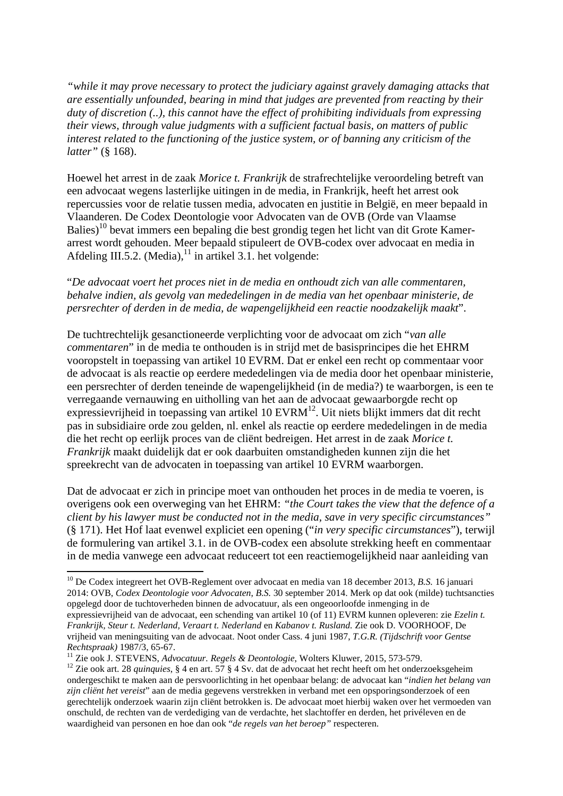*"while it may prove necessary to protect the judiciary against gravely damaging attacks that are essentially unfounded, bearing in mind that judges are prevented from reacting by their duty of discretion (..), this cannot have the effect of prohibiting individuals from expressing their views, through value judgments with a sufficient factual basis, on matters of public interest related to the functioning of the justice system, or of banning any criticism of the latter"* (§ 168).

Hoewel het arrest in de zaak *Morice t. Frankrijk* de strafrechtelijke veroordeling betreft van een advocaat wegens lasterlijke uitingen in de media, in Frankrijk, heeft het arrest ook repercussies voor de relatie tussen media, advocaten en justitie in België, en meer bepaald in Vlaanderen. De Codex Deontologie voor Advocaten van de OVB (Orde van Vlaamse Balies)<sup>10</sup> bevat immers een bepaling die best grondig tegen het licht van dit Grote Kamerarrest wordt gehouden. Meer bepaald stipuleert de OVB-codex over advocaat en media in Afdeling III.5.2. (Media), $^{11}$  in artikel 3.1. het volgende:

### "*De advocaat voert het proces niet in de media en onthoudt zich van alle commentaren, behalve indien, als gevolg van mededelingen in de media van het openbaar ministerie, de persrechter of derden in de media, de wapengelijkheid een reactie noodzakelijk maakt*".

De tuchtrechtelijk gesanctioneerde verplichting voor de advocaat om zich "*van alle commentaren*" in de media te onthouden is in strijd met de basisprincipes die het EHRM vooropstelt in toepassing van artikel 10 EVRM. Dat er enkel een recht op commentaar voor de advocaat is als reactie op eerdere mededelingen via de media door het openbaar ministerie, een persrechter of derden teneinde de wapengelijkheid (in de media?) te waarborgen, is een te verregaande vernauwing en uitholling van het aan de advocaat gewaarborgde recht op expressievrijheid in toepassing van artikel  $10$  EVRM<sup>12</sup>. Uit niets blijkt immers dat dit recht pas in subsidiaire orde zou gelden, nl. enkel als reactie op eerdere mededelingen in de media die het recht op eerlijk proces van de cliënt bedreigen. Het arrest in de zaak *Morice t. Frankrijk* maakt duidelijk dat er ook daarbuiten omstandigheden kunnen zijn die het spreekrecht van de advocaten in toepassing van artikel 10 EVRM waarborgen.

Dat de advocaat er zich in principe moet van onthouden het proces in de media te voeren, is overigens ook een overweging van het EHRM: *"the Court takes the view that the defence of a client by his lawyer must be conducted not in the media, save in very specific circumstances"* (§ 171). Het Hof laat evenwel expliciet een opening ("*in very specific circumstances*"), terwijl de formulering van artikel 3.1. in de OVB-codex een absolute strekking heeft en commentaar in de media vanwege een advocaat reduceert tot een reactiemogelijkheid naar aanleiding van

l

<sup>10</sup> De Codex integreert het OVB-Reglement over advocaat en media van 18 december 2013, *B.S.* 16 januari 2014: OVB, *Codex Deontologie voor Advocaten*, *B.S.* 30 september 2014. Merk op dat ook (milde) tuchtsancties opgelegd door de tuchtoverheden binnen de advocatuur, als een ongeoorloofde inmenging in de expressievrijheid van de advocaat, een schending van artikel 10 (of 11) EVRM kunnen opleveren: zie *Ezelin t. Frankrijk, Steur t. Nederland, Veraart t. Nederland* en *Kabanov t. Rusland.* Zie ook D. VOORHOOF, De vrijheid van meningsuiting van de advocaat. Noot onder Cass. 4 juni 1987, *T.G.R. (Tijdschrift voor Gentse Rechtspraak)* 1987/3, 65-67.

<sup>11</sup> Zie ook J. STEVENS, *Advocatuur. Regels & Deontologie*, Wolters Kluwer, 2015, 573-579.

<sup>&</sup>lt;sup>12</sup> Zie ook art. 28 *quinquies*, § 4 en art. 57 § 4 Sv. dat de advocaat het recht heeft om het onderzoeksgeheim ondergeschikt te maken aan de persvoorlichting in het openbaar belang: de advocaat kan "*indien het belang van zijn cliënt het vereist*" aan de media gegevens verstrekken in verband met een opsporingsonderzoek of een gerechtelijk onderzoek waarin zijn cliënt betrokken is. De advocaat moet hierbij waken over het vermoeden van onschuld, de rechten van de verdediging van de verdachte, het slachtoffer en derden, het privéleven en de waardigheid van personen en hoe dan ook "*de regels van het beroep"* respecteren.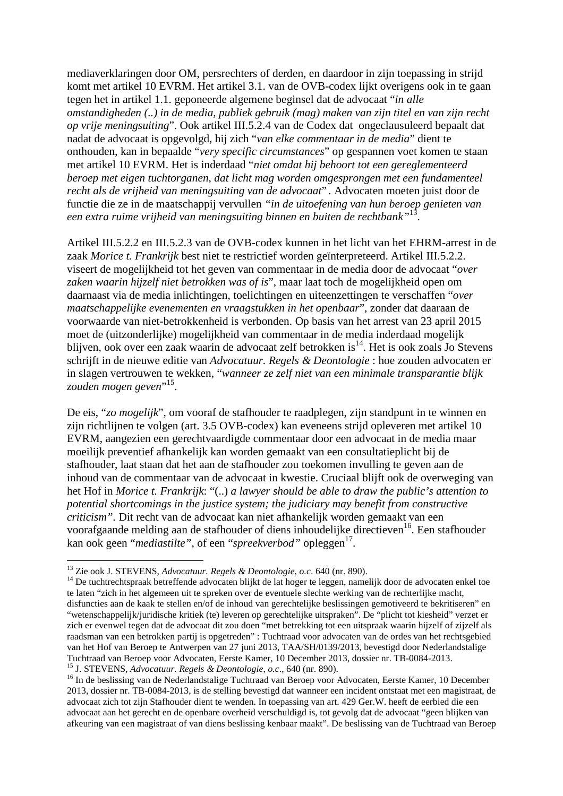mediaverklaringen door OM, persrechters of derden, en daardoor in zijn toepassing in strijd komt met artikel 10 EVRM. Het artikel 3.1. van de OVB-codex lijkt overigens ook in te gaan tegen het in artikel 1.1. geponeerde algemene beginsel dat de advocaat "*in alle omstandigheden (..) in de media, publiek gebruik (mag) maken van zijn titel en van zijn recht op vrije meningsuiting*". Ook artikel III.5.2.4 van de Codex dat ongeclausuleerd bepaalt dat nadat de advocaat is opgevolgd, hij zich "*van elke commentaar in de media*" dient te onthouden, kan in bepaalde "*very specific circumstances*" op gespannen voet komen te staan met artikel 10 EVRM. Het is inderdaad "*niet omdat hij behoort tot een gereglementeerd beroep met eigen tuchtorganen, dat licht mag worden omgesprongen met een fundamenteel recht als de vrijheid van meningsuiting van de advocaat*" *.* Advocaten moeten juist door de functie die ze in de maatschappij vervullen *"in de uitoefening van hun beroep genieten van een extra ruime vrijheid van meningsuiting binnen en buiten de rechtbank"*<sup>13</sup> .

Artikel III.5.2.2 en III.5.2.3 van de OVB-codex kunnen in het licht van het EHRM-arrest in de zaak *Morice t. Frankrijk* best niet te restrictief worden geïnterpreteerd. Artikel III.5.2.2. viseert de mogelijkheid tot het geven van commentaar in de media door de advocaat "*over zaken waarin hijzelf niet betrokken was of is*", maar laat toch de mogelijkheid open om daarnaast via de media inlichtingen, toelichtingen en uiteenzettingen te verschaffen "*over maatschappelijke evenementen en vraagstukken in het openbaar*", zonder dat daaraan de voorwaarde van niet-betrokkenheid is verbonden. Op basis van het arrest van 23 april 2015 moet de (uitzonderlijke) mogelijkheid van commentaar in de media inderdaad mogelijk blijven, ook over een zaak waarin de advocaat zelf betrokken is<sup>14</sup>. Het is ook zoals Jo Stevens schrijft in de nieuwe editie van *Advocatuur. Regels & Deontologie* : hoe zouden advocaten er in slagen vertrouwen te wekken, "*wanneer ze zelf niet van een minimale transparantie blijk*  zouden mogen geven<sup>",15</sup>.

De eis, "*zo mogelijk*", om vooraf de stafhouder te raadplegen, zijn standpunt in te winnen en zijn richtlijnen te volgen (art. 3.5 OVB-codex) kan eveneens strijd opleveren met artikel 10 EVRM, aangezien een gerechtvaardigde commentaar door een advocaat in de media maar moeilijk preventief afhankelijk kan worden gemaakt van een consultatieplicht bij de stafhouder, laat staan dat het aan de stafhouder zou toekomen invulling te geven aan de inhoud van de commentaar van de advocaat in kwestie. Cruciaal blijft ook de overweging van het Hof in *Morice t. Frankrijk*: "(..) *a lawyer should be able to draw the public's attention to potential shortcomings in the justice system; the judiciary may benefit from constructive criticism".* Dit recht van de advocaat kan niet afhankelijk worden gemaakt van een voorafgaande melding aan de stafhouder of diens inhoudelijke directieven<sup>16</sup>. Een stafhouder kan ook geen "*mediastilte"*, of een "*spreekverbod"* opleggen<sup>17</sup>.

l

<sup>13</sup> Zie ook J. STEVENS, *Advocatuur. Regels & Deontologie*, *o.c*. 640 (nr. 890).

<sup>&</sup>lt;sup>14</sup> De tuchtrechtspraak betreffende advocaten blijkt de lat hoger te leggen, namelijk door de advocaten enkel toe te laten "zich in het algemeen uit te spreken over de eventuele slechte werking van de rechterlijke macht, disfuncties aan de kaak te stellen en/of de inhoud van gerechtelijke beslissingen gemotiveerd te bekritiseren" en "wetenschappelijk/juridische kritiek (te) leveren op gerechtelijke uitspraken". De "plicht tot kiesheid" verzet er zich er evenwel tegen dat de advocaat dit zou doen "met betrekking tot een uitspraak waarin hijzelf of zijzelf als raadsman van een betrokken partij is opgetreden" : Tuchtraad voor advocaten van de ordes van het rechtsgebied van het Hof van Beroep te Antwerpen van 27 juni 2013, TAA/SH/0139/2013, bevestigd door Nederlandstalige Tuchtraad van Beroep voor Advocaten, Eerste Kamer, 10 December 2013, dossier nr. TB-0084-2013. <sup>15</sup> J. STEVENS, *Advocatuur. Regels & Deontologie*, *o.c*., 640 (nr. 890).

<sup>&</sup>lt;sup>16</sup> In de beslissing van de Nederlandstalige Tuchtraad van Beroep voor Advocaten, Eerste Kamer, 10 December 2013, dossier nr. TB-0084-2013, is de stelling bevestigd dat wanneer een incident ontstaat met een magistraat, de advocaat zich tot zijn Stafhouder dient te wenden. In toepassing van art. 429 Ger.W. heeft de eerbied die een advocaat aan het gerecht en de openbare overheid verschuldigd is, tot gevolg dat de advocaat "geen blijken van afkeuring van een magistraat of van diens beslissing kenbaar maakt". De beslissing van de Tuchtraad van Beroep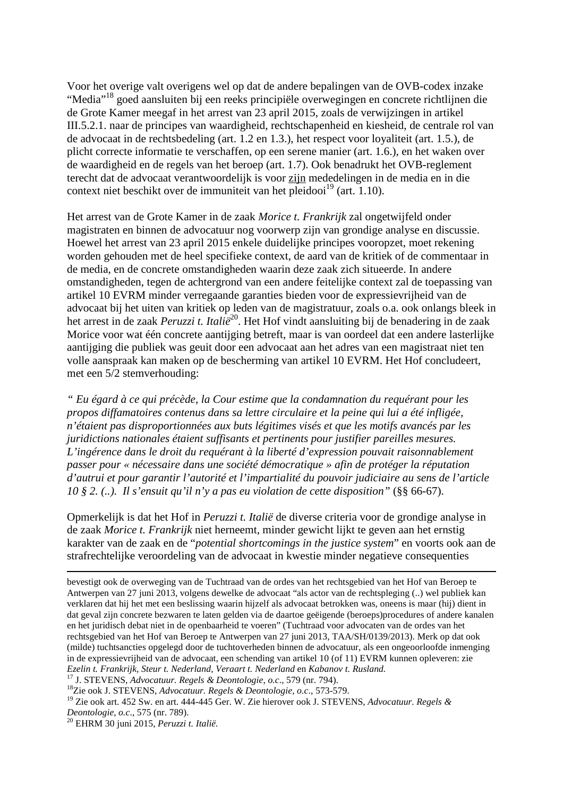Voor het overige valt overigens wel op dat de andere bepalingen van de OVB-codex inzake "Media"<sup>18</sup> goed aansluiten bij een reeks principiële overwegingen en concrete richtlijnen die de Grote Kamer meegaf in het arrest van 23 april 2015, zoals de verwijzingen in artikel III.5.2.1. naar de principes van waardigheid, rechtschapenheid en kiesheid, de centrale rol van de advocaat in de rechtsbedeling (art. 1.2 en 1.3.), het respect voor loyaliteit (art. 1.5.), de plicht correcte informatie te verschaffen, op een serene manier (art. 1.6.), en het waken over de waardigheid en de regels van het beroep (art. 1.7). Ook benadrukt het OVB-reglement terecht dat de advocaat verantwoordelijk is voor zijn mededelingen in de media en in die context niet beschikt over de immuniteit van het pleidooi $^{19}$  (art. 1.10).

Het arrest van de Grote Kamer in de zaak *Morice t. Frankrijk* zal ongetwijfeld onder magistraten en binnen de advocatuur nog voorwerp zijn van grondige analyse en discussie. Hoewel het arrest van 23 april 2015 enkele duidelijke principes vooropzet, moet rekening worden gehouden met de heel specifieke context, de aard van de kritiek of de commentaar in de media, en de concrete omstandigheden waarin deze zaak zich situeerde. In andere omstandigheden, tegen de achtergrond van een andere feitelijke context zal de toepassing van artikel 10 EVRM minder verregaande garanties bieden voor de expressievrijheid van de advocaat bij het uiten van kritiek op leden van de magistratuur, zoals o.a. ook onlangs bleek in het arrest in de zaak *Peruzzi t. Italië*<sup>20</sup>. Het Hof vindt aansluiting bij de benadering in de zaak Morice voor wat één concrete aantijging betreft, maar is van oordeel dat een andere lasterlijke aantijging die publiek was geuit door een advocaat aan het adres van een magistraat niet ten volle aanspraak kan maken op de bescherming van artikel 10 EVRM. Het Hof concludeert, met een 5/2 stemverhouding:

*" Eu égard à ce qui précède, la Cour estime que la condamnation du requérant pour les propos diffamatoires contenus dans sa lettre circulaire et la peine qui lui a été infligée, n'étaient pas disproportionnées aux buts légitimes visés et que les motifs avancés par les juridictions nationales étaient suffisants et pertinents pour justifier pareilles mesures. L'ingérence dans le droit du requérant à la liberté d'expression pouvait raisonnablement passer pour « nécessaire dans une société démocratique » afin de protéger la réputation d'autrui et pour garantir l'autorité et l'impartialité du pouvoir judiciaire au sens de l'article 10 § 2. (..). Il s'ensuit qu'il n'y a pas eu violation de cette disposition"* (§§ 66-67).

Opmerkelijk is dat het Hof in *Peruzzi t. Italië* de diverse criteria voor de grondige analyse in de zaak *Morice t. Frankrijk* niet herneemt, minder gewicht lijkt te geven aan het ernstig karakter van de zaak en de "*potential shortcomings in the justice system*" en voorts ook aan de strafrechtelijke veroordeling van de advocaat in kwestie minder negatieve consequenties

 $\overline{a}$ 

bevestigt ook de overweging van de Tuchtraad van de ordes van het rechtsgebied van het Hof van Beroep te Antwerpen van 27 juni 2013, volgens dewelke de advocaat "als actor van de rechtspleging (..) wel publiek kan verklaren dat hij het met een beslissing waarin hijzelf als advocaat betrokken was, oneens is maar (hij) dient in dat geval zijn concrete bezwaren te laten gelden via de daartoe geëigende (beroeps)procedures of andere kanalen en het juridisch debat niet in de openbaarheid te voeren" (Tuchtraad voor advocaten van de ordes van het rechtsgebied van het Hof van Beroep te Antwerpen van 27 juni 2013, TAA/SH/0139/2013). Merk op dat ook (milde) tuchtsancties opgelegd door de tuchtoverheden binnen de advocatuur, als een ongeoorloofde inmenging in de expressievrijheid van de advocaat, een schending van artikel 10 (of 11) EVRM kunnen opleveren: zie *Ezelin t. Frankrijk, Steur t. Nederland, Veraart t. Nederland* en *Kabanov t. Rusland.*

<sup>17</sup> J. STEVENS, *Advocatuur. Regels & Deontologie*, *o.c*., 579 (nr. 794).

<sup>18</sup>Zie ook J. STEVENS, *Advocatuur. Regels & Deontologie*, *o.c*., 573-579.

<sup>19</sup> Zie ook art. 452 Sw. en art. 444-445 Ger. W. Zie hierover ook J. STEVENS, *Advocatuur. Regels & Deontologie*, *o.c*., 575 (nr. 789).

<sup>20</sup> EHRM 30 juni 2015, *Peruzzi t. Italië.*